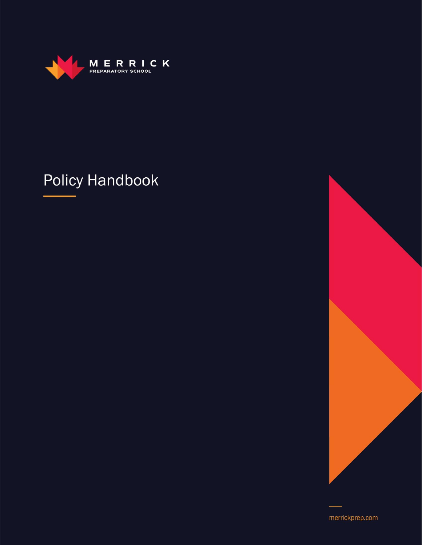

## **Policy Handbook**



merrickprep.com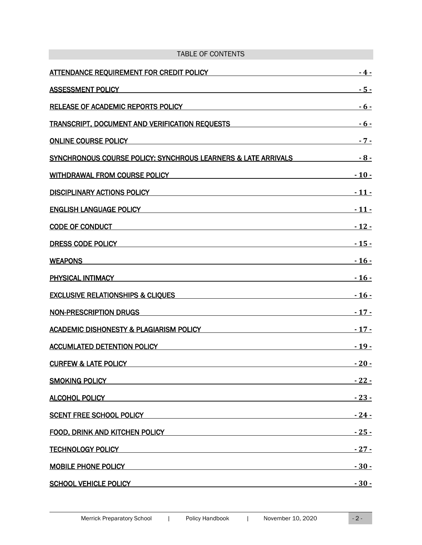| <b>TABLE OF CONTENTS</b>                                                                                                                                                                                                       |                 |
|--------------------------------------------------------------------------------------------------------------------------------------------------------------------------------------------------------------------------------|-----------------|
| <b>ATTENDANCE REQUIREMENT FOR CREDIT POLICY</b>                                                                                                                                                                                | - 4 -           |
| <b>ASSESSMENT POLICY</b>                                                                                                                                                                                                       | <u>- 5 -</u>    |
| RELEASE OF ACADEMIC REPORTS POLICY                                                                                                                                                                                             | - 6 -           |
| <b>TRANSCRIPT, DOCUMENT AND VERIFICATION REQUESTS</b>                                                                                                                                                                          | - 6 -           |
| <b>ONLINE COURSE POLICY</b>                                                                                                                                                                                                    | $-7-$           |
| SYNCHRONOUS COURSE POLICY: SYNCHROUS LEARNERS & LATE ARRIVALS                                                                                                                                                                  | $-8-$           |
| <b>WITHDRAWAL FROM COURSE POLICY</b>                                                                                                                                                                                           | $-10-$          |
| <b>DISCIPLINARY ACTIONS POLICY</b>                                                                                                                                                                                             | $-11 -$         |
| <b>ENGLISH LANGUAGE POLICY</b>                                                                                                                                                                                                 | <u>- 11 -</u>   |
| <b>CODE OF CONDUCT</b>                                                                                                                                                                                                         | <u>  - 12 -</u> |
| DRESS CODE POLICY                                                                                                                                                                                                              | <u> - 15 -</u>  |
| WEAPONS WERE ARRESTED FOR A STATE AND THE STATE OF THE STATE OF THE STATE OF THE STATE OF THE STATE OF THE STATE OF THE STATE OF THE STATE OF THE STATE OF THE STATE OF THE STATE OF THE STATE OF THE STATE OF THE STATE OF TH | $-16-$          |
| PHYSICAL INTIMACY DESCRIPTION AND RELEASED FOR A STRUCK AND RELEASED FOR A STRUCK OF STRUCK AND RELEASED FOR A                                                                                                                 | <u>  - 16 -</u> |
| <b>EXCLUSIVE RELATIONSHIPS &amp; CLIQUES</b>                                                                                                                                                                                   | $-16-$          |
| <b>NON-PRESCRIPTION DRUGS</b>                                                                                                                                                                                                  | $-17-$          |
| ACADEMIC DISHONESTY & PLAGIARISM POLICY NAMEL AND RELEASED FOR A STRUCK AND RELEASED FOR A STRUCK AND RELEASED                                                                                                                 | $-17-$          |
| <b>ACCUMLATED DETENTION POLICY</b><br><u> 1989 - Johann Stoff, Amerikaansk politiker († 1908)</u>                                                                                                                              | $-19-$          |
| <b>CURFEW &amp; LATE POLICY CONTRACT AND ACCOUNT AND ACCOUNT ACCOUNT ACCOUNT ACCOUNT ACCOUNT ACCOUNT ACCOUNT ACCOUNT</b>                                                                                                       | $-20-$          |
| SMOKING POLICY AND ANNOUNCED AND ACCOUNT OF THE CONTRACTOR OF THE CONTRACTOR OF THE CONTRACTOR OF THE CONTRACTOR                                                                                                               | <u>  - 22 -</u> |
| ALCOHOL POLICY ALCOHOL AND THE RESIDENCE OF A SALCOHOL POLICY                                                                                                                                                                  | $-23-$          |
| <u>SCENT FREE SCHOOL POLICY AND THE RESIDENCE OF A SCENT FREE SCHOOL POLICY AND THE RESIDENCE OF A SCHOOL OF A SC</u>                                                                                                          | $-24-$          |
| FOOD, DRINK AND KITCHEN POLICY NOTES AND RELEASED FOOD, DRINK AND RELEASED FOOD.                                                                                                                                               | <u>  - 25 -</u> |
| <b>TECHNOLOGY POLICY EXAMPLE AND RESIDENCE AND RESIDENCE AND RESIDENCE AND RESIDENCE</b>                                                                                                                                       | <u>  - 27 -</u> |
| MOBILE PHONE POLICY NAMES AND THE RESIDENCE OF A SERIES AND THE RESIDENCE OF A SERIES OF A SERIES OF A SERIES                                                                                                                  | $-30-$          |
| <b>SCHOOL VEHICLE POLICY CONTRACT CONTRACT CONTRACT CONTRACT CONTRACT CONTRACT CONTRACT CONTRACT CONTRACT CONTRACT</b>                                                                                                         | $-30-$          |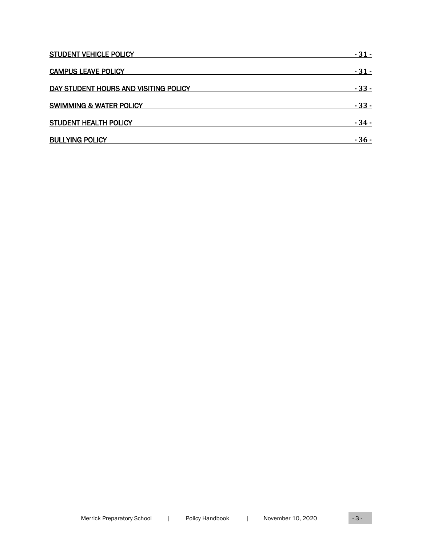| <b>STUDENT VEHICLE POLICY</b>         | - 31 -          |
|---------------------------------------|-----------------|
| <b>CAMPUS LEAVE POLICY</b>            | $-31-$          |
| DAY STUDENT HOURS AND VISITING POLICY | - 33 -          |
| <b>SWIMMING &amp; WATER POLICY</b>    | <u>  - 33 -</u> |
| <b>STUDENT HEALTH POLICY</b>          | - 34 -          |
| <b>BULLYING POLICY</b>                | - 36 -          |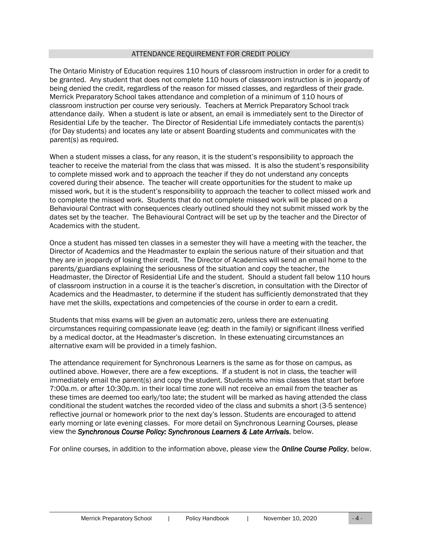#### ATTENDANCE REQUIREMENT FOR CREDIT POLICY

<span id="page-3-0"></span>The Ontario Ministry of Education requires 110 hours of classroom instruction in order for a credit to be granted. Any student that does not complete 110 hours of classroom instruction is in jeopardy of being denied the credit, regardless of the reason for missed classes, and regardless of their grade. Merrick Preparatory School takes attendance and completion of a minimum of 110 hours of classroom instruction per course very seriously. Teachers at Merrick Preparatory School track attendance daily. When a student is late or absent, an email is immediately sent to the Director of Residential Life by the teacher. The Director of Residential Life immediately contacts the parent(s) (for Day students) and locates any late or absent Boarding students and communicates with the parent(s) as required.

When a student misses a class, for any reason, it is the student's responsibility to approach the teacher to receive the material from the class that was missed. It is also the student's responsibility to complete missed work and to approach the teacher if they do not understand any concepts covered during their absence. The teacher will create opportunities for the student to make up missed work, but it is the student's responsibility to approach the teacher to collect missed work and to complete the missed work. Students that do not complete missed work will be placed on a Behavioural Contract with consequences clearly outlined should they not submit missed work by the dates set by the teacher. The Behavioural Contract will be set up by the teacher and the Director of Academics with the student.

Once a student has missed ten classes in a semester they will have a meeting with the teacher, the Director of Academics and the Headmaster to explain the serious nature of their situation and that they are in jeopardy of losing their credit. The Director of Academics will send an email home to the parents/guardians explaining the seriousness of the situation and copy the teacher, the Headmaster, the Director of Residential Life and the student. Should a student fall below 110 hours of classroom instruction in a course it is the teacher's discretion, in consultation with the Director of Academics and the Headmaster, to determine if the student has sufficiently demonstrated that they have met the skills, expectations and competencies of the course in order to earn a credit.

Students that miss exams will be given an automatic zero, unless there are extenuating circumstances requiring compassionate leave (eg: death in the family) or significant illness verified by a medical doctor, at the Headmaster's discretion. In these extenuating circumstances an alternative exam will be provided in a timely fashion.

The attendance requirement for Synchronous Learners is the same as for those on campus, as outlined above. However, there are a few exceptions. If a student is not in class, the teacher will immediately email the parent(s) and copy the student. Students who miss classes that start before 7:00a.m. or after 10:30p.m. in their local time zone will not receive an email from the teacher as these times are deemed too early/too late; the student will be marked as having attended the class conditional the student watches the recorded video of the class and submits a short (3-5 sentence) reflective journal or homework prior to the next day's lesson. Students are encouraged to attend early morning or late evening classes. For more detail on Synchronous Learning Courses, please view the *Synchronous Course Policy: Synchronous Learners & Late Arrivals*, below.

For online courses, in addition to the information above, please view the *Online Course Policy*, below.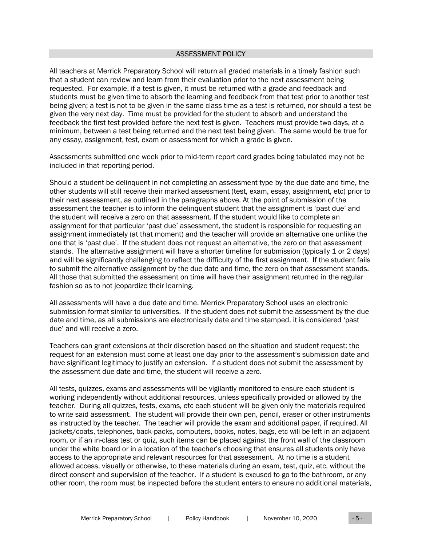#### ASSESSMENT POLICY

<span id="page-4-0"></span>All teachers at Merrick Preparatory School will return all graded materials in a timely fashion such that a student can review and learn from their evaluation prior to the next assessment being requested. For example, if a test is given, it must be returned with a grade and feedback and students must be given time to absorb the learning and feedback from that test prior to another test being given; a test is not to be given in the same class time as a test is returned, nor should a test be given the very next day. Time must be provided for the student to absorb and understand the feedback the first test provided before the next test is given. Teachers must provide two days, at a minimum, between a test being returned and the next test being given. The same would be true for any essay, assignment, test, exam or assessment for which a grade is given.

Assessments submitted one week prior to mid-term report card grades being tabulated may not be included in that reporting period.

Should a student be delinquent in not completing an assessment type by the due date and time, the other students will still receive their marked assessment (test, exam, essay, assignment, etc) prior to their next assessment, as outlined in the paragraphs above. At the point of submission of the assessment the teacher is to inform the delinquent student that the assignment is 'past due' and the student will receive a zero on that assessment. If the student would like to complete an assignment for that particular 'past due' assessment, the student is responsible for requesting an assignment immediately (at that moment) and the teacher will provide an alternative one unlike the one that is 'past due'. If the student does not request an alternative, the zero on that assessment stands. The alternative assignment will have a shorter timeline for submission (typically 1 or 2 days) and will be significantly challenging to reflect the difficulty of the first assignment. If the student fails to submit the alternative assignment by the due date and time, the zero on that assessment stands. All those that submitted the assessment on time will have their assignment returned in the regular fashion so as to not jeopardize their learning.

All assessments will have a due date and time. Merrick Preparatory School uses an electronic submission format similar to universities. If the student does not submit the assessment by the due date and time, as all submissions are electronically date and time stamped, it is considered 'past due' and will receive a zero.

Teachers can grant extensions at their discretion based on the situation and student request; the request for an extension must come at least one day prior to the assessment's submission date and have significant legitimacy to justify an extension. If a student does not submit the assessment by the assessment due date and time, the student will receive a zero.

All tests, quizzes, exams and assessments will be vigilantly monitored to ensure each student is working independently without additional resources, unless specifically provided or allowed by the teacher. During all quizzes, tests, exams, etc each student will be given only the materials required to write said assessment. The student will provide their own pen, pencil, eraser or other instruments as instructed by the teacher. The teacher will provide the exam and additional paper, if required. All jackets/coats, telephones, back-packs, computers, books, notes, bags, etc will be left in an adjacent room, or if an in-class test or quiz, such items can be placed against the front wall of the classroom under the white board or in a location of the teacher's choosing that ensures all students only have access to the appropriate and relevant resources for that assessment. At no time is a student allowed access, visually or otherwise, to these materials during an exam, test, quiz, etc, without the direct consent and supervision of the teacher. If a student is excused to go to the bathroom, or any other room, the room must be inspected before the student enters to ensure no additional materials,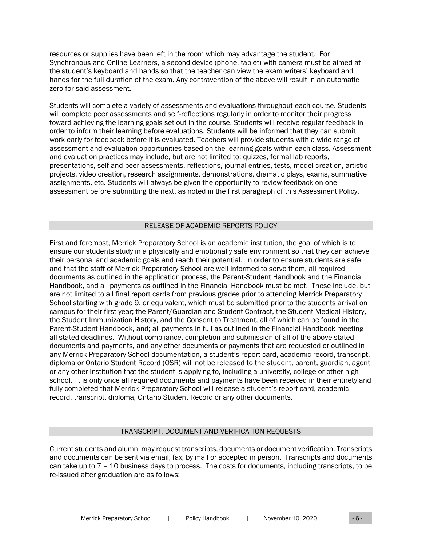resources or supplies have been left in the room which may advantage the student. For Synchronous and Online Learners, a second device (phone, tablet) with camera must be aimed at the student's keyboard and hands so that the teacher can view the exam writers' keyboard and hands for the full duration of the exam. Any contravention of the above will result in an automatic zero for said assessment.

Students will complete a variety of assessments and evaluations throughout each course. Students will complete peer assessments and self-reflections regularly in order to monitor their progress toward achieving the learning goals set out in the course. Students will receive regular feedback in order to inform their learning before evaluations. Students will be informed that they can submit work early for feedback before it is evaluated. Teachers will provide students with a wide range of assessment and evaluation opportunities based on the learning goals within each class. Assessment and evaluation practices may include, but are not limited to: quizzes, formal lab reports, presentations, self and peer assessments, reflections, journal entries, tests, model creation, artistic projects, video creation, research assignments, demonstrations, dramatic plays, exams, summative assignments, etc. Students will always be given the opportunity to review feedback on one assessment before submitting the next, as noted in the first paragraph of this Assessment Policy.

## RELEASE OF ACADEMIC REPORTS POLICY

<span id="page-5-0"></span>First and foremost, Merrick Preparatory School is an academic institution, the goal of which is to ensure our students study in a physically and emotionally safe environment so that they can achieve their personal and academic goals and reach their potential. In order to ensure students are safe and that the staff of Merrick Preparatory School are well informed to serve them, all required documents as outlined in the application process, the Parent-Student Handbook and the Financial Handbook, and all payments as outlined in the Financial Handbook must be met. These include, but are not limited to all final report cards from previous grades prior to attending Merrick Preparatory School starting with grade 9, or equivalent, which must be submitted prior to the students arrival on campus for their first year; the Parent/Guardian and Student Contract, the Student Medical History, the Student Immunization History, and the Consent to Treatment, all of which can be found in the Parent-Student Handbook, and; all payments in full as outlined in the Financial Handbook meeting all stated deadlines. Without compliance, completion and submission of all of the above stated documents and payments, and any other documents or payments that are requested or outlined in any Merrick Preparatory School documentation, a student's report card, academic record, transcript, diploma or Ontario Student Record (OSR) will not be released to the student, parent, guardian, agent or any other institution that the student is applying to, including a university, college or other high school. It is only once all required documents and payments have been received in their entirety and fully completed that Merrick Preparatory School will release a student's report card, academic record, transcript, diploma, Ontario Student Record or any other documents.

## TRANSCRIPT, DOCUMENT AND VERIFICATION REQUESTS

<span id="page-5-1"></span>Current students and alumni may request transcripts, documents or document verification. Transcripts and documents can be sent via email, fax, by mail or accepted in person. Transcripts and documents can take up to 7 – 10 business days to process. The costs for documents, including transcripts, to be re-issued after graduation are as follows: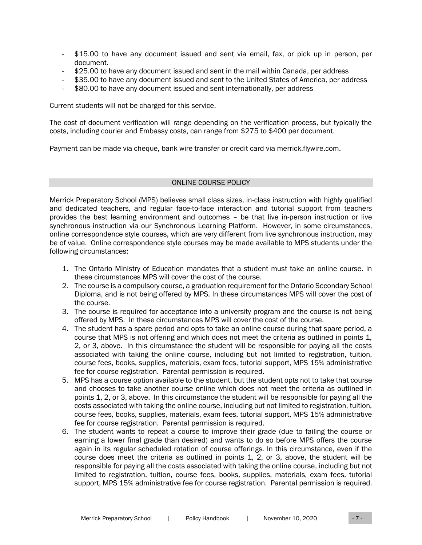- \$15.00 to have any document issued and sent via email, fax, or pick up in person, per document.
- \$25.00 to have any document issued and sent in the mail within Canada, per address
- \$35.00 to have any document issued and sent to the United States of America, per address
- \$80.00 to have any document issued and sent internationally, per address

Current students will not be charged for this service.

The cost of document verification will range depending on the verification process, but typically the costs, including courier and Embassy costs, can range from \$275 to \$400 per document.

Payment can be made via cheque, bank wire transfer or credit card via merrick.flywire.com.

#### ONLINE COURSE POLICY

<span id="page-6-0"></span>Merrick Preparatory School (MPS) believes small class sizes, in-class instruction with highly qualified and dedicated teachers, and regular face-to-face interaction and tutorial support from teachers provides the best learning environment and outcomes – be that live in-person instruction or live synchronous instruction via our Synchronous Learning Platform. However, in some circumstances, online correspondence style courses, which are very different from live synchronous instruction, may be of value. Online correspondence style courses may be made available to MPS students under the following circumstances:

- 1. The Ontario Ministry of Education mandates that a student must take an online course. In these circumstances MPS will cover the cost of the course.
- 2. The course is a compulsory course, a graduation requirement for the Ontario Secondary School Diploma, and is not being offered by MPS. In these circumstances MPS will cover the cost of the course.
- 3. The course is required for acceptance into a university program and the course is not being offered by MPS. In these circumstances MPS will cover the cost of the course.
- 4. The student has a spare period and opts to take an online course during that spare period, a course that MPS is not offering and which does not meet the criteria as outlined in points 1, 2, or 3, above. In this circumstance the student will be responsible for paying all the costs associated with taking the online course, including but not limited to registration, tuition, course fees, books, supplies, materials, exam fees, tutorial support, MPS 15% administrative fee for course registration. Parental permission is required.
- 5. MPS has a course option available to the student, but the student opts not to take that course and chooses to take another course online which does not meet the criteria as outlined in points 1, 2, or 3, above. In this circumstance the student will be responsible for paying all the costs associated with taking the online course, including but not limited to registration, tuition, course fees, books, supplies, materials, exam fees, tutorial support, MPS 15% administrative fee for course registration. Parental permission is required.
- 6. The student wants to repeat a course to improve their grade (due to failing the course or earning a lower final grade than desired) and wants to do so before MPS offers the course again in its regular scheduled rotation of course offerings. In this circumstance, even if the course does meet the criteria as outlined in points 1, 2, or 3, above, the student will be responsible for paying all the costs associated with taking the online course, including but not limited to registration, tuition, course fees, books, supplies, materials, exam fees, tutorial support, MPS 15% administrative fee for course registration. Parental permission is required.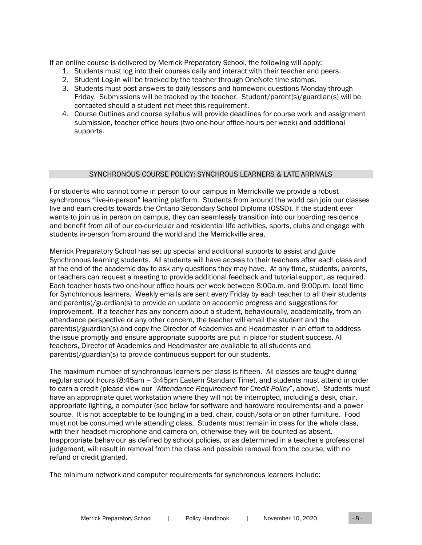If an online course is delivered by Merrick Preparatory School, the following will apply:

- 1. Students must log into their courses daily and interact with their teacher and peers.
- 2. Student Log-in will be tracked by the teacher through OneNote time stamps.
- 3. Students must post answers to daily lessons and homework questions Monday through Friday. Submissions will be tracked by the teacher. Student/parent(s)/guardian(s) will be contacted should a student not meet this requirement.
- 4. Course Outlines and course syllabus will provide deadlines for course work and assignment submission, teacher office hours (two one-hour office-hours per week) and additional supports.

#### SYNCHRONOUS COURSE POLICY: SYNCHROUS LEARNERS & LATE ARRIVALS

<span id="page-7-0"></span>For students who cannot come in person to our campus in Merrickville we provide a robust synchronous "live-in-person" learning platform. Students from around the world can join our classes live and earn credits towards the Ontario Secondary School Diploma (OSSD). If the student ever wants to join us in person on campus, they can seamlessly transition into our boarding residence and benefit from all of our co-curricular and residential life activities, sports, clubs and engage with students in-person from around the world and the Merrickville area.

Merrick Preparatory School has set up special and additional supports to assist and guide Synchronous learning students. All students will have access to their teachers after each class and at the end of the academic day to ask any questions they may have. At any time, students, parents, or teachers can request a meeting to provide additional feedback and tutorial support, as required. Each teacher hosts two one-hour office hours per week between 8:00a.m. and 9:00p.m. local time for Synchronous learners. Weekly emails are sent every Friday by each teacher to all their students and parent(s)/guardian(s) to provide an update on academic progress and suggestions for improvement. If a teacher has any concern about a student, behaviourally, academically, from an attendance perspective or any other concern, the teacher will email the student and the parent(s)/guardian(s) and copy the Director of Academics and Headmaster in an effort to address the issue promptly and ensure appropriate supports are put in place for student success. All teachers, Director of Academics and Headmaster are available to all students and parent(s)/guardian(s) to provide continuous support for our students.

The maximum number of synchronous learners per class is fifteen. All classes are taught during regular school hours (8:45am – 3:45pm Eastern Standard Time), and students must attend in order to earn a credit (please view our "*Attendance Requirement for Credit Policy*", above). Students must have an appropriate quiet workstation where they will not be interrupted, including a desk, chair, appropriate lighting, a computer (see below for software and hardware requirements) and a power source. It is not acceptable to be lounging in a bed, chair, couch/sofa or on other furniture. Food must not be consumed while attending class. Students must remain in class for the whole class, with their headset-microphone and camera on, otherwise they will be counted as absent. Inappropriate behaviour as defined by school policies, or as determined in a teacher's professional judgement, will result in removal from the class and possible removal from the course, with no refund or credit granted.

The minimum network and computer requirements for synchronous learners include: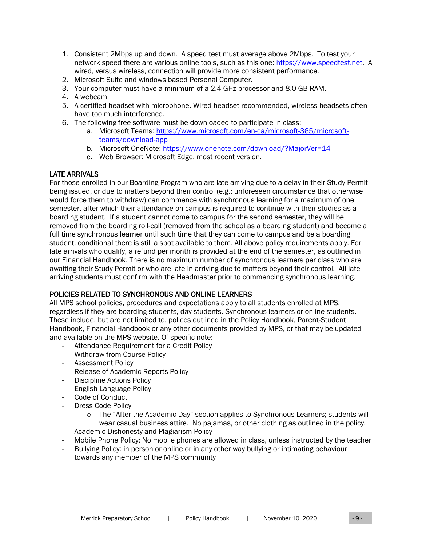- 1. Consistent 2Mbps up and down. A speed test must average above 2Mbps. To test your network speed there are various online tools, such as this one: [https://www.speedtest.net.](https://www.speedtest.net/) A wired, versus wireless, connection will provide more consistent performance.
- 2. Microsoft Suite and windows based Personal Computer.
- 3. Your computer must have a minimum of a 2.4 GHz processor and 8.0 GB RAM.
- 4. A webcam
- 5. A certified headset with microphone. Wired headset recommended, wireless headsets often have too much interference.
- 6. The following free software must be downloaded to participate in class:
	- a. Microsoft Teams: [https://www.microsoft.com/en-ca/microsoft-365/microsoft](https://www.microsoft.com/en-ca/microsoft-365/microsoft-teams/download-app)[teams/download-app](https://www.microsoft.com/en-ca/microsoft-365/microsoft-teams/download-app)
	- b. Microsoft OneNote:<https://www.onenote.com/download/?MajorVer=14>
	- c. Web Browser: Microsoft Edge, most recent version.

## LATE ARRIVALS

For those enrolled in our Boarding Program who are late arriving due to a delay in their Study Permit being issued, or due to matters beyond their control (e.g.: unforeseen circumstance that otherwise would force them to withdraw) can commence with synchronous learning for a maximum of one semester, after which their attendance on campus is required to continue with their studies as a boarding student. If a student cannot come to campus for the second semester, they will be removed from the boarding roll-call (removed from the school as a boarding student) and become a full time synchronous learner until such time that they can come to campus and be a boarding student, conditional there is still a spot available to them. All above policy requirements apply. For late arrivals who qualify, a refund per month is provided at the end of the semester, as outlined in our Financial Handbook. There is no maximum number of synchronous learners per class who are awaiting their Study Permit or who are late in arriving due to matters beyond their control. All late arriving students must confirm with the Headmaster prior to commencing synchronous learning.

## POLICIES RELATED TO SYNCHRONOUS AND ONLINE LEARNERS

All MPS school policies, procedures and expectations apply to all students enrolled at MPS, regardless if they are boarding students, day students. Synchronous learners or online students. These include, but are not limited to, polices outlined in the Policy Handbook, Parent-Student Handbook, Financial Handbook or any other documents provided by MPS, or that may be updated and available on the MPS website. Of specific note:

- Attendance Requirement for a Credit Policy
- Withdraw from Course Policy
- Assessment Policy
- Release of Academic Reports Policy
- Discipline Actions Policy
- English Language Policy
- Code of Conduct
- Dress Code Policy
	- o The "After the Academic Day" section applies to Synchronous Learners; students will wear casual business attire. No pajamas, or other clothing as outlined in the policy.
- Academic Dishonesty and Plagiarism Policy
- Mobile Phone Policy: No mobile phones are allowed in class, unless instructed by the teacher
- Bullying Policy: in person or online or in any other way bullying or intimating behaviour towards any member of the MPS community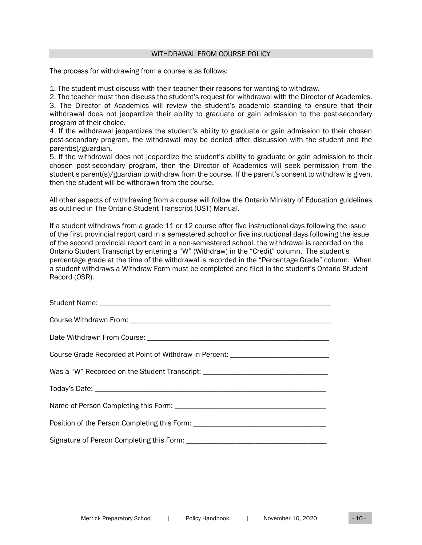#### WITHDRAWAL FROM COURSE POLICY

<span id="page-9-0"></span>The process for withdrawing from a course is as follows:

1. The student must discuss with their teacher their reasons for wanting to withdraw.

2. The teacher must then discuss the student's request for withdrawal with the Director of Academics. 3. The Director of Academics will review the student's academic standing to ensure that their withdrawal does not jeopardize their ability to graduate or gain admission to the post-secondary program of their choice.

4. If the withdrawal jeopardizes the student's ability to graduate or gain admission to their chosen post-secondary program, the withdrawal may be denied after discussion with the student and the parent(s)/guardian.

5. If the withdrawal does not jeopardize the student's ability to graduate or gain admission to their chosen post-secondary program, then the Director of Academics will seek permission from the student's parent(s)/guardian to withdraw from the course. If the parent's consent to withdraw is given, then the student will be withdrawn from the course.

All other aspects of withdrawing from a course will follow the Ontario Ministry of Education guidelines as outlined in The Ontario Student Transcript (OST) Manual.

If a student withdraws from a grade 11 or 12 course after five instructional days following the issue of the first provincial report card in a semestered school or five instructional days following the issue of the second provincial report card in a non-semestered school, the withdrawal is recorded on the Ontario Student Transcript by entering a "W" (Withdraw) in the "Credit" column. The student's percentage grade at the time of the withdrawal is recorded in the "Percentage Grade" column. When a student withdraws a Withdraw Form must be completed and filed in the student's Ontario Student Record (OSR).

| Course Grade Recorded at Point of Withdraw in Percent: _________________________ |
|----------------------------------------------------------------------------------|
| Was a "W" Recorded on the Student Transcript: __________________________________ |
|                                                                                  |
|                                                                                  |
| Position of the Person Completing this Form: ___________________________________ |
|                                                                                  |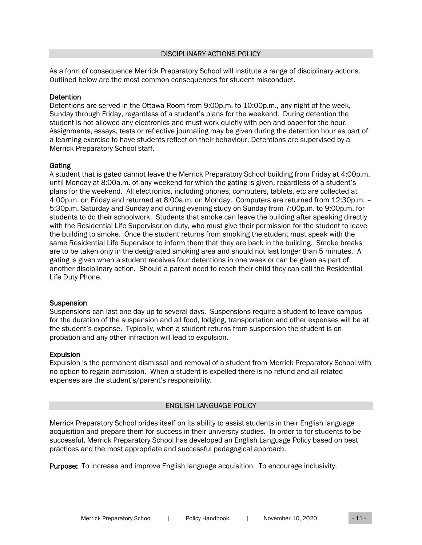<span id="page-10-0"></span>As a form of consequence Merrick Preparatory School will institute a range of disciplinary actions. Outlined below are the most common consequences for student misconduct.

## **Detention**

Detentions are served in the Ottawa Room from 9:00p.m. to 10:00p.m., any night of the week, Sunday through Friday, regardless of a student's plans for the weekend. During detention the student is not allowed any electronics and must work quietly with pen and paper for the hour. Assignments, essays, tests or reflective journaling may be given during the detention hour as part of a learning exercise to have students reflect on their behaviour. Detentions are supervised by a Merrick Preparatory School staff.

#### Gating

A student that is gated cannot leave the Merrick Preparatory School building from Friday at 4:00p.m. until Monday at 8:00a.m. of any weekend for which the gating is given, regardless of a student's plans for the weekend. All electronics, including phones, computers, tablets, etc are collected at 4:00p.m. on Friday and returned at 8:00a.m. on Monday. Computers are returned from 12:30p.m. – 5:30p.m. Saturday and Sunday and during evening study on Sunday from 7:00p.m. to 9:00p.m. for students to do their schoolwork. Students that smoke can leave the building after speaking directly with the Residential Life Supervisor on duty, who must give their permission for the student to leave the building to smoke. Once the student returns from smoking the student must speak with the same Residential Life Supervisor to inform them that they are back in the building. Smoke breaks are to be taken only in the designated smoking area and should not last longer than 5 minutes. A gating is given when a student receives four detentions in one week or can be given as part of another disciplinary action. Should a parent need to reach their child they can call the Residential Life Duty Phone.

#### **Suspension**

Suspensions can last one day up to several days. Suspensions require a student to leave campus for the duration of the suspension and all food, lodging, transportation and other expenses will be at the student's expense. Typically, when a student returns from suspension the student is on probation and any other infraction will lead to expulsion.

## **Expulsion**

Expulsion is the permanent dismissal and removal of a student from Merrick Preparatory School with no option to regain admission. When a student is expelled there is no refund and all related expenses are the student's/parent's responsibility.

## ENGLISH LANGUAGE POLICY

<span id="page-10-1"></span>Merrick Preparatory School prides itself on its ability to assist students in their English language acquisition and prepare them for success in their university studies. In order to for students to be successful, Merrick Preparatory School has developed an English Language Policy based on best practices and the most appropriate and successful pedagogical approach.

Purpose: To increase and improve English language acquisition. To encourage inclusivity.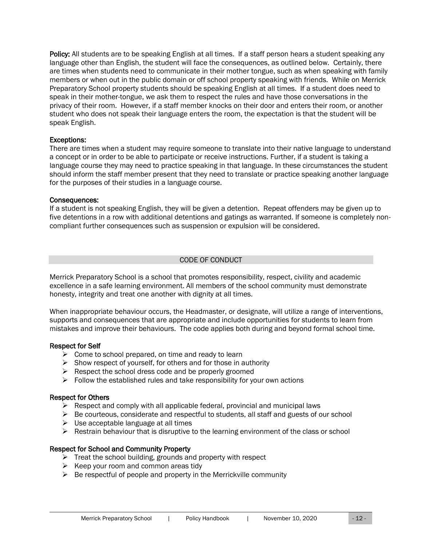Policy: All students are to be speaking English at all times. If a staff person hears a student speaking any language other than English, the student will face the consequences, as outlined below. Certainly, there are times when students need to communicate in their mother tongue, such as when speaking with family members or when out in the public domain or off school property speaking with friends. While on Merrick Preparatory School property students should be speaking English at all times. If a student does need to speak in their mother-tongue, we ask them to respect the rules and have those conversations in the privacy of their room. However, if a staff member knocks on their door and enters their room, or another student who does not speak their language enters the room, the expectation is that the student will be speak English.

#### Exceptions:

There are times when a student may require someone to translate into their native language to understand a concept or in order to be able to participate or receive instructions. Further, if a student is taking a language course they may need to practice speaking in that language. In these circumstances the student should inform the staff member present that they need to translate or practice speaking another language for the purposes of their studies in a language course.

#### Consequences:

If a student is not speaking English, they will be given a detention. Repeat offenders may be given up to five detentions in a row with additional detentions and gatings as warranted. If someone is completely noncompliant further consequences such as suspension or expulsion will be considered.

#### CODE OF CONDUCT

<span id="page-11-0"></span>Merrick Preparatory School is a school that promotes responsibility, respect, civility and academic excellence in a safe learning environment. All members of the school community must demonstrate honesty, integrity and treat one another with dignity at all times.

When inappropriate behaviour occurs, the Headmaster, or designate, will utilize a range of interventions, supports and consequences that are appropriate and include opportunities for students to learn from mistakes and improve their behaviours. The code applies both during and beyond formal school time.

#### Respect for Self

- $\triangleright$  Come to school prepared, on time and ready to learn
- $\triangleright$  Show respect of yourself, for others and for those in authority
- ➢ Respect the school dress code and be properly groomed
- $\triangleright$  Follow the established rules and take responsibility for your own actions

#### Respect for Others

- $\triangleright$  Respect and comply with all applicable federal, provincial and municipal laws
- $\triangleright$  Be courteous, considerate and respectful to students, all staff and guests of our school
- $\triangleright$  Use acceptable language at all times
- ➢ Restrain behaviour that is disruptive to the learning environment of the class or school

## Respect for School and Community Property

- $\triangleright$  Treat the school building, grounds and property with respect
- $\triangleright$  Keep your room and common areas tidy
- $\triangleright$  Be respectful of people and property in the Merrickville community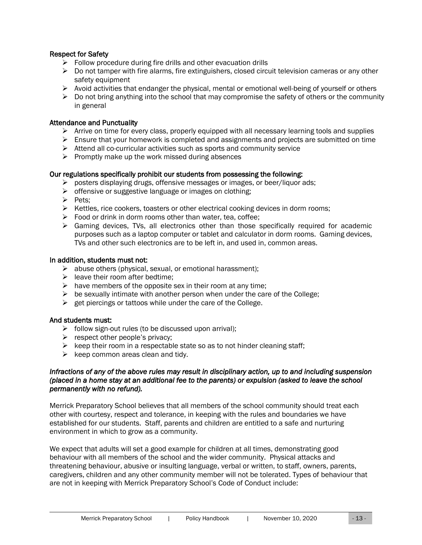## Respect for Safety

- $\triangleright$  Follow procedure during fire drills and other evacuation drills
- $\triangleright$  Do not tamper with fire alarms, fire extinguishers, closed circuit television cameras or any other safety equipment
- $\triangleright$  Avoid activities that endanger the physical, mental or emotional well-being of yourself or others
- $\triangleright$  Do not bring anything into the school that may compromise the safety of others or the community in general

#### Attendance and Punctuality

- $\triangleright$  Arrive on time for every class, properly equipped with all necessary learning tools and supplies
- $\triangleright$  Ensure that your homework is completed and assignments and projects are submitted on time
- ➢ Attend all co-curricular activities such as sports and community service
- $\triangleright$  Promptly make up the work missed during absences

#### Our regulations specifically prohibit our students from possessing the following:

- ➢ posters displaying drugs, offensive messages or images, or beer/liquor ads;
- ➢ offensive or suggestive language or images on clothing;
- ➢ Pets;
- $\triangleright$  Kettles, rice cookers, toasters or other electrical cooking devices in dorm rooms;
- $\triangleright$  Food or drink in dorm rooms other than water, tea, coffee;
- $\triangleright$  Gaming devices, TVs, all electronics other than those specifically required for academic purposes such as a laptop computer or tablet and calculator in dorm rooms. Gaming devices, TVs and other such electronics are to be left in, and used in, common areas.

#### In addition, students must not:

- $\triangleright$  abuse others (physical, sexual, or emotional harassment);
- $\triangleright$  leave their room after bedtime:
- $\triangleright$  have members of the opposite sex in their room at any time;
- $\triangleright$  be sexually intimate with another person when under the care of the College;
- $\triangleright$  get piercings or tattoos while under the care of the College.

#### And students must:

- $\triangleright$  follow sign-out rules (to be discussed upon arrival);
- $\triangleright$  respect other people's privacy;
- $\triangleright$  keep their room in a respectable state so as to not hinder cleaning staff;
- $\triangleright$  keep common areas clean and tidy.

#### *Infractions of any of the above rules may result in disciplinary action, up to and including suspension (placed in a home stay at an additional fee to the parents) or expulsion (asked to leave the school permanently with no refund).*

Merrick Preparatory School believes that all members of the school community should treat each other with courtesy, respect and tolerance, in keeping with the rules and boundaries we have established for our students. Staff, parents and children are entitled to a safe and nurturing environment in which to grow as a community.

We expect that adults will set a good example for children at all times, demonstrating good behaviour with all members of the school and the wider community. Physical attacks and threatening behaviour, abusive or insulting language, verbal or written, to staff, owners, parents, caregivers, children and any other community member will not be tolerated. Types of behaviour that are not in keeping with Merrick Preparatory School's Code of Conduct include: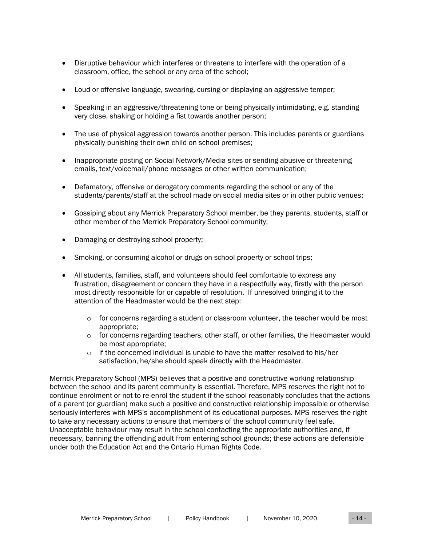- Disruptive behaviour which interferes or threatens to interfere with the operation of a classroom, office, the school or any area of the school;
- Loud or offensive language, swearing, cursing or displaying an aggressive temper;
- Speaking in an aggressive/threatening tone or being physically intimidating, e.g. standing very close, shaking or holding a fist towards another person;
- The use of physical aggression towards another person. This includes parents or guardians physically punishing their own child on school premises;
- Inappropriate posting on Social Network/Media sites or sending abusive or threatening emails, text/voicemail/phone messages or other written communication;
- Defamatory, offensive or derogatory comments regarding the school or any of the students/parents/staff at the school made on social media sites or in other public venues;
- Gossiping about any Merrick Preparatory School member, be they parents, students, staff or other member of the Merrick Preparatory School community;
- Damaging or destroying school property;
- Smoking, or consuming alcohol or drugs on school property or school trips;
- All students, families, staff, and volunteers should feel comfortable to express any frustration, disagreement or concern they have in a respectfully way, firstly with the person most directly responsible for or capable of resolution. If unresolved bringing it to the attention of the Headmaster would be the next step:
	- $\circ$  for concerns regarding a student or classroom volunteer, the teacher would be most appropriate;
	- $\circ$  for concerns regarding teachers, other staff, or other families, the Headmaster would be most appropriate;
	- $\circ$  if the concerned individual is unable to have the matter resolved to his/her satisfaction, he/she should speak directly with the Headmaster.

Merrick Preparatory School (MPS) believes that a positive and constructive working relationship between the school and its parent community is essential. Therefore, MPS reserves the right not to continue enrolment or not to re-enrol the student if the school reasonably concludes that the actions of a parent (or guardian) make such a positive and constructive relationship impossible or otherwise seriously interferes with MPS's accomplishment of its educational purposes. MPS reserves the right to take any necessary actions to ensure that members of the school community feel safe. Unacceptable behaviour may result in the school contacting the appropriate authorities and, if necessary, banning the offending adult from entering school grounds; these actions are defensible under both the Education Act and the Ontario Human Rights Code.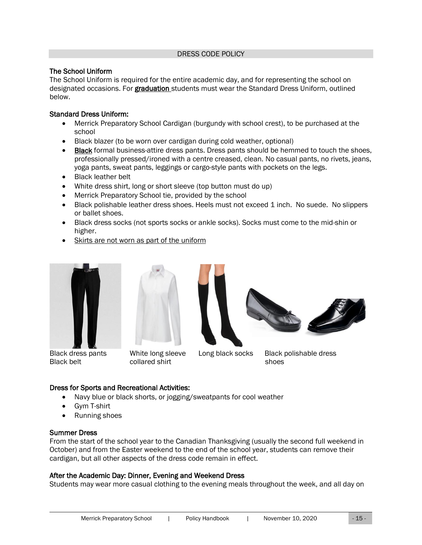#### DRESS CODE POLICY

#### <span id="page-14-0"></span>The School Uniform

The School Uniform is required for the entire academic day, and for representing the school on designated occasions. For graduation students must wear the Standard Dress Uniform, outlined below.

#### Standard Dress Uniform:

- Merrick Preparatory School Cardigan (burgundy with school crest), to be purchased at the school
- Black blazer (to be worn over cardigan during cold weather, optional)
- Black formal business-attire dress pants. Dress pants should be hemmed to touch the shoes, professionally pressed/ironed with a centre creased, clean. No casual pants, no rivets, jeans, yoga pants, sweat pants, leggings or cargo-style pants with pockets on the legs.
- Black leather belt
- White dress shirt, long or short sleeve (top button must do up)
- Merrick Preparatory School tie, provided by the school
- Black polishable leather dress shoes. Heels must not exceed 1 inch. No suede. No slippers or ballet shoes.
- Black dress socks (not sports socks or ankle socks). Socks must come to the mid-shin or higher.
- Skirts are not worn as part of the uniform







Black dress pants White long sleeve Long black socks Black polishable dress

Black belt collared shirt shoes

## Dress for Sports and Recreational Activities:

- Navy blue or black shorts, or jogging/sweatpants for cool weather
- Gym T-shirt
- Running shoes

## Summer Dress

From the start of the school year to the Canadian Thanksgiving (usually the second full weekend in October) and from the Easter weekend to the end of the school year, students can remove their cardigan, but all other aspects of the dress code remain in effect.

## After the Academic Day: Dinner, Evening and Weekend Dress

Students may wear more casual clothing to the evening meals throughout the week, and all day on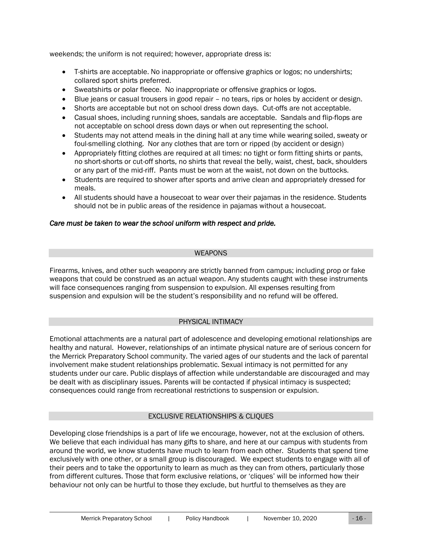weekends; the uniform is not required; however, appropriate dress is:

- T-shirts are acceptable. No inappropriate or offensive graphics or logos; no undershirts; collared sport shirts preferred.
- Sweatshirts or polar fleece. No inappropriate or offensive graphics or logos.
- Blue jeans or casual trousers in good repair no tears, rips or holes by accident or design.
- Shorts are acceptable but not on school dress down days. Cut-offs are not acceptable.
- Casual shoes, including running shoes, sandals are acceptable. Sandals and flip-flops are not acceptable on school dress down days or when out representing the school.
- Students may not attend meals in the dining hall at any time while wearing soiled, sweaty or foul-smelling clothing. Nor any clothes that are torn or ripped (by accident or design)
- Appropriately fitting clothes are required at all times: no tight or form fitting shirts or pants, no short-shorts or cut-off shorts, no shirts that reveal the belly, waist, chest, back, shoulders or any part of the mid-riff. Pants must be worn at the waist, not down on the buttocks.
- Students are required to shower after sports and arrive clean and appropriately dressed for meals.
- All students should have a housecoat to wear over their pajamas in the residence. Students should not be in public areas of the residence in pajamas without a housecoat.

## *Care must be taken to wear the school uniform with respect and pride.*

#### WEAPONS

<span id="page-15-0"></span>Firearms, knives, and other such weaponry are strictly banned from campus; including prop or fake weapons that could be construed as an actual weapon. Any students caught with these instruments will face consequences ranging from suspension to expulsion. All expenses resulting from suspension and expulsion will be the student's responsibility and no refund will be offered.

## PHYSICAL INTIMACY

<span id="page-15-1"></span>Emotional attachments are a natural part of adolescence and developing emotional relationships are healthy and natural. However, relationships of an intimate physical nature are of serious concern for the Merrick Preparatory School community. The varied ages of our students and the lack of parental involvement make student relationships problematic. Sexual intimacy is not permitted for any students under our care. Public displays of affection while understandable are discouraged and may be dealt with as disciplinary issues. Parents will be contacted if physical intimacy is suspected; consequences could range from recreational restrictions to suspension or expulsion.

## EXCLUSIVE RELATIONSHIPS & CLIQUES

<span id="page-15-2"></span>Developing close friendships is a part of life we encourage, however, not at the exclusion of others. We believe that each individual has many gifts to share, and here at our campus with students from around the world, we know students have much to learn from each other. Students that spend time exclusively with one other, or a small group is discouraged. We expect students to engage with all of their peers and to take the opportunity to learn as much as they can from others, particularly those from different cultures. Those that form exclusive relations, or 'cliques' will be informed how their behaviour not only can be hurtful to those they exclude, but hurtful to themselves as they are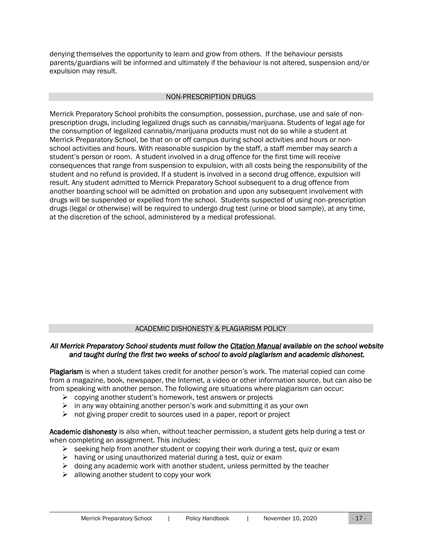denying themselves the opportunity to learn and grow from others. If the behaviour persists parents/guardians will be informed and ultimately if the behaviour is not altered, suspension and/or expulsion may result.

#### NON-PRESCRIPTION DRUGS

<span id="page-16-0"></span>Merrick Preparatory School prohibits the consumption, possession, purchase, use and sale of nonprescription drugs, including legalized drugs such as cannabis/marijuana. Students of legal age for the consumption of legalized cannabis/marijuana products must not do so while a student at Merrick Preparatory School, be that on or off campus during school activities and hours or nonschool activities and hours. With reasonable suspicion by the staff, a staff member may search a student's person or room. A student involved in a drug offence for the first time will receive consequences that range from suspension to expulsion, with all costs being the responsibility of the student and no refund is provided. If a student is involved in a second drug offence, expulsion will result. Any student admitted to Merrick Preparatory School subsequent to a drug offence from another boarding school will be admitted on probation and upon any subsequent involvement with drugs will be suspended or expelled from the school. Students suspected of using non-prescription drugs (legal or otherwise) will be required to undergo drug test (urine or blood sample), at any time, at the discretion of the school, administered by a medical professional.

## ACADEMIC DISHONESTY & PLAGIARISM POLICY

#### <span id="page-16-1"></span>*All Merrick Preparatory School students must follow the Citation Manual available on the school website and taught during the first two weeks of school to avoid plagiarism and academic dishonest.*

Plagiarism is when a student takes credit for another person's work. The material copied can come from a magazine, book, newspaper, the Internet, a video or other information source, but can also be from speaking with another person. The following are situations where plagiarism can occur:

- $\triangleright$  copying another student's homework, test answers or projects
- $\triangleright$  in any way obtaining another person's work and submitting it as your own
- ➢ not giving proper credit to sources used in a paper, report or project

Academic dishonesty is also when, without teacher permission, a student gets help during a test or when completing an assignment. This includes:

- $\triangleright$  seeking help from another student or copying their work during a test, quiz or exam
- $\triangleright$  having or using unauthorized material during a test, quiz or exam
- $\triangleright$  doing any academic work with another student, unless permitted by the teacher
- $\triangleright$  allowing another student to copy your work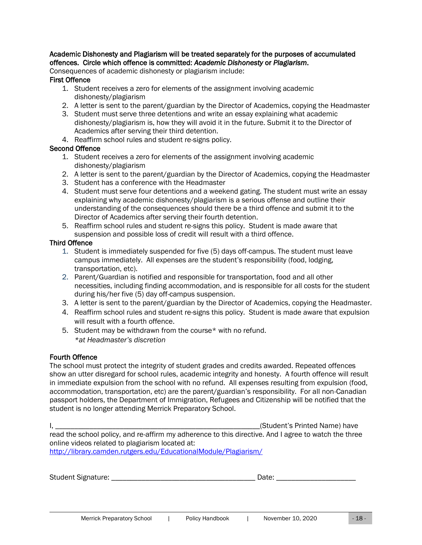## Academic Dishonesty and Plagiarism will be treated separately for the purposes of accumulated offences. Circle which offence is committed: *Academic Dishonesty* or *Plagiarism*.

Consequences of academic dishonesty or plagiarism include:

## First Offence

- 1. Student receives a zero for elements of the assignment involving academic dishonesty/plagiarism
- 2. A letter is sent to the parent/guardian by the Director of Academics, copying the Headmaster
- 3. Student must serve three detentions and write an essay explaining what academic dishonesty/plagiarism is, how they will avoid it in the future. Submit it to the Director of Academics after serving their third detention.
- 4. Reaffirm school rules and student re-signs policy.

#### Second Offence

- 1. Student receives a zero for elements of the assignment involving academic dishonesty/plagiarism
- 2. A letter is sent to the parent/guardian by the Director of Academics, copying the Headmaster
- 3. Student has a conference with the Headmaster
- 4. Student must serve four detentions and a weekend gating. The student must write an essay explaining why academic dishonesty/plagiarism is a serious offense and outline their understanding of the consequences should there be a third offence and submit it to the Director of Academics after serving their fourth detention.
- 5. Reaffirm school rules and student re-signs this policy. Student is made aware that suspension and possible loss of credit will result with a third offence.

#### Third Offence

- 1. Student is immediately suspended for five (5) days off-campus. The student must leave campus immediately. All expenses are the student's responsibility (food, lodging, transportation, etc).
- 2. Parent/Guardian is notified and responsible for transportation, food and all other necessities, including finding accommodation, and is responsible for all costs for the student during his/her five (5) day off-campus suspension.
- 3. A letter is sent to the parent/guardian by the Director of Academics, copying the Headmaster.
- 4. Reaffirm school rules and student re-signs this policy. Student is made aware that expulsion will result with a fourth offence.
- 5. Student may be withdrawn from the course\* with no refund. *\*at Headmaster's discretion*

## Fourth Offence

The school must protect the integrity of student grades and credits awarded. Repeated offences show an utter disregard for school rules, academic integrity and honesty. A fourth offence will result in immediate expulsion from the school with no refund. All expenses resulting from expulsion (food, accommodation, transportation, etc) are the parent/guardian's responsibility. For all non-Canadian passport holders, the Department of Immigration, Refugees and Citizenship will be notified that the student is no longer attending Merrick Preparatory School.

I, the contract of the contract of the contract of the contract of the contract of the contract of the contract of the contract of the contract of the contract of the contract of the contract of the contract of the contrac read the school policy, and re-affirm my adherence to this directive. And I agree to watch the three online videos related to plagiarism located at: <http://library.camden.rutgers.edu/EducationalModule/Plagiarism/>

Student Signature: \_\_\_\_\_\_\_\_\_\_\_\_\_\_\_\_\_\_\_\_\_\_\_\_\_\_\_\_\_\_\_\_\_\_\_\_\_\_ Date: \_\_\_\_\_\_\_\_\_\_\_\_\_\_\_\_\_\_\_\_\_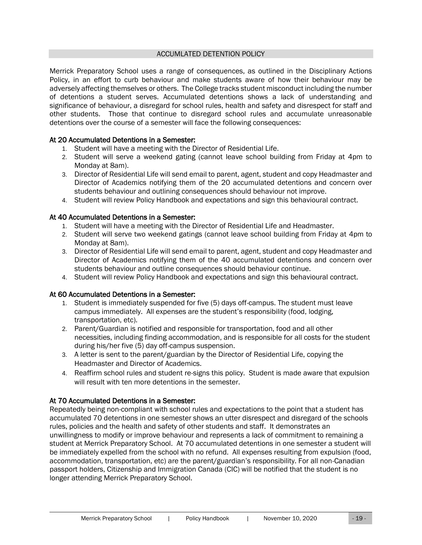#### ACCUMLATED DETENTION POLICY

<span id="page-18-0"></span>Merrick Preparatory School uses a range of consequences, as outlined in the Disciplinary Actions Policy, in an effort to curb behaviour and make students aware of how their behaviour may be adversely affecting themselves or others. The College tracks student misconduct including the number of detentions a student serves. Accumulated detentions shows a lack of understanding and significance of behaviour, a disregard for school rules, health and safety and disrespect for staff and other students. Those that continue to disregard school rules and accumulate unreasonable detentions over the course of a semester will face the following consequences:

## At 20 Accumulated Detentions in a Semester:

- 1. Student will have a meeting with the Director of Residential Life.
- 2. Student will serve a weekend gating (cannot leave school building from Friday at 4pm to Monday at 8am).
- 3. Director of Residential Life will send email to parent, agent, student and copy Headmaster and Director of Academics notifying them of the 20 accumulated detentions and concern over students behaviour and outlining consequences should behaviour not improve.
- 4. Student will review Policy Handbook and expectations and sign this behavioural contract.

#### At 40 Accumulated Detentions in a Semester:

- 1. Student will have a meeting with the Director of Residential Life and Headmaster.
- 2. Student will serve two weekend gatings (cannot leave school building from Friday at 4pm to Monday at 8am).
- 3. Director of Residential Life will send email to parent, agent, student and copy Headmaster and Director of Academics notifying them of the 40 accumulated detentions and concern over students behaviour and outline consequences should behaviour continue.
- 4. Student will review Policy Handbook and expectations and sign this behavioural contract.

## At 60 Accumulated Detentions in a Semester:

- 1. Student is immediately suspended for five (5) days off-campus. The student must leave campus immediately. All expenses are the student's responsibility (food, lodging, transportation, etc).
- 2. Parent/Guardian is notified and responsible for transportation, food and all other necessities, including finding accommodation, and is responsible for all costs for the student during his/her five (5) day off-campus suspension.
- 3. A letter is sent to the parent/guardian by the Director of Residential Life, copying the Headmaster and Director of Academics.
- 4. Reaffirm school rules and student re-signs this policy. Student is made aware that expulsion will result with ten more detentions in the semester.

## At 70 Accumulated Detentions in a Semester:

Repeatedly being non-compliant with school rules and expectations to the point that a student has accumulated 70 detentions in one semester shows an utter disrespect and disregard of the schools rules, policies and the health and safety of other students and staff. It demonstrates an unwillingness to modify or improve behaviour and represents a lack of commitment to remaining a student at Merrick Preparatory School. At 70 accumulated detentions in one semester a student will be immediately expelled from the school with no refund. All expenses resulting from expulsion (food, accommodation, transportation, etc) are the parent/guardian's responsibility. For all non-Canadian passport holders, Citizenship and Immigration Canada (CIC) will be notified that the student is no longer attending Merrick Preparatory School.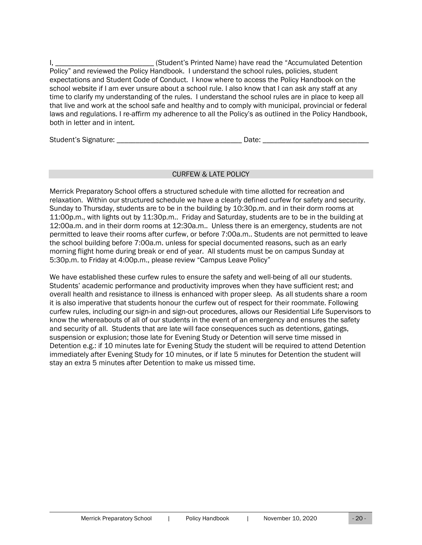I, \_\_\_\_\_\_\_\_\_\_\_\_\_\_\_\_\_\_\_\_\_\_\_\_\_\_\_\_\_\_(Student's Printed Name) have read the "Accumulated Detention Policy" and reviewed the Policy Handbook. I understand the school rules, policies, student expectations and Student Code of Conduct. I know where to access the Policy Handbook on the school website if I am ever unsure about a school rule. I also know that I can ask any staff at any time to clarify my understanding of the rules. I understand the school rules are in place to keep all that live and work at the school safe and healthy and to comply with municipal, provincial or federal laws and regulations. I re-affirm my adherence to all the Policy's as outlined in the Policy Handbook, both in letter and in intent.

Student's Signature: \_\_\_\_\_\_\_\_\_\_\_\_\_\_\_\_\_\_\_\_\_\_\_\_\_\_\_\_\_\_\_\_\_ Date: \_\_\_\_\_\_\_\_\_\_\_\_\_\_\_\_\_\_\_\_\_\_\_\_\_\_\_\_

## CURFEW & LATE POLICY

<span id="page-19-0"></span>Merrick Preparatory School offers a structured schedule with time allotted for recreation and relaxation. Within our structured schedule we have a clearly defined curfew for safety and security. Sunday to Thursday, students are to be in the building by 10:30p.m. and in their dorm rooms at 11:00p.m., with lights out by 11:30p.m.. Friday and Saturday, students are to be in the building at 12:00a.m. and in their dorm rooms at 12:30a.m.. Unless there is an emergency, students are not permitted to leave their rooms after curfew, or before 7:00a.m.. Students are not permitted to leave the school building before 7:00a.m. unless for special documented reasons, such as an early morning flight home during break or end of year. All students must be on campus Sunday at 5:30p.m. to Friday at 4:00p.m., please review "Campus Leave Policy"

We have established these curfew rules to ensure the safety and well-being of all our students. Students' academic performance and productivity improves when they have sufficient rest; and overall health and resistance to illness is enhanced with proper sleep. As all students share a room it is also imperative that students honour the curfew out of respect for their roommate. Following curfew rules, including our sign-in and sign-out procedures, allows our Residential Life Supervisors to know the whereabouts of all of our students in the event of an emergency and ensures the safety and security of all. Students that are late will face consequences such as detentions, gatings, suspension or explusion; those late for Evening Study or Detention will serve time missed in Detention e.g.: if 10 minutes late for Evening Study the student will be required to attend Detention immediately after Evening Study for 10 minutes, or if late 5 minutes for Detention the student will stay an extra 5 minutes after Detention to make us missed time.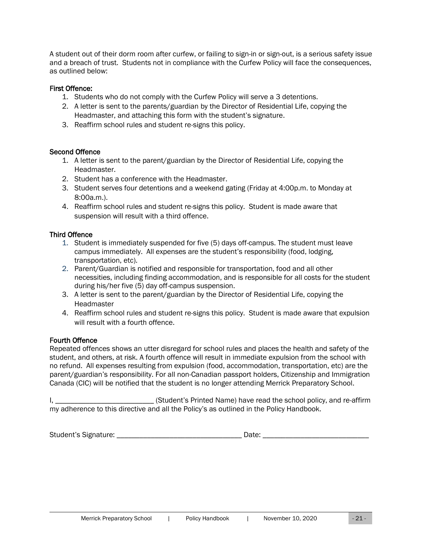A student out of their dorm room after curfew, or failing to sign-in or sign-out, is a serious safety issue and a breach of trust. Students not in compliance with the Curfew Policy will face the consequences, as outlined below:

## First Offence:

- 1. Students who do not comply with the Curfew Policy will serve a 3 detentions.
- 2. A letter is sent to the parents/guardian by the Director of Residential Life, copying the Headmaster, and attaching this form with the student's signature.
- 3. Reaffirm school rules and student re-signs this policy.

#### Second Offence

- 1. A letter is sent to the parent/guardian by the Director of Residential Life, copying the Headmaster.
- 2. Student has a conference with the Headmaster.
- 3. Student serves four detentions and a weekend gating (Friday at 4:00p.m. to Monday at 8:00a.m.).
- 4. Reaffirm school rules and student re-signs this policy. Student is made aware that suspension will result with a third offence.

## Third Offence

- 1. Student is immediately suspended for five (5) days off-campus. The student must leave campus immediately. All expenses are the student's responsibility (food, lodging, transportation, etc).
- 2. Parent/Guardian is notified and responsible for transportation, food and all other necessities, including finding accommodation, and is responsible for all costs for the student during his/her five (5) day off-campus suspension.
- 3. A letter is sent to the parent/guardian by the Director of Residential Life, copying the Headmaster
- 4. Reaffirm school rules and student re-signs this policy. Student is made aware that expulsion will result with a fourth offence.

## Fourth Offence

Repeated offences shows an utter disregard for school rules and places the health and safety of the student, and others, at risk. A fourth offence will result in immediate expulsion from the school with no refund. All expenses resulting from expulsion (food, accommodation, transportation, etc) are the parent/guardian's responsibility. For all non-Canadian passport holders, Citizenship and Immigration Canada (CIC) will be notified that the student is no longer attending Merrick Preparatory School.

I, \_\_\_\_\_\_\_\_\_\_\_\_\_\_\_\_\_\_\_\_\_\_\_\_\_\_ (Student's Printed Name) have read the school policy, and re-affirm my adherence to this directive and all the Policy's as outlined in the Policy Handbook.

| Student's Signature:<br>しいい |  |
|-----------------------------|--|
|-----------------------------|--|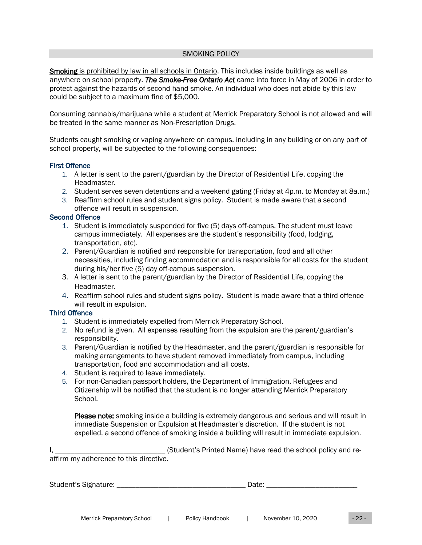#### SMOKING POLICY

<span id="page-21-0"></span>Smoking is prohibited by law in all schools in Ontario. This includes inside buildings as well as anywhere on school property. *The Smoke-Free Ontario Act* came into force in May of 2006 in order to protect against the hazards of second hand smoke. An individual who does not abide by this law could be subject to a maximum fine of \$5,000.

Consuming cannabis/marijuana while a student at Merrick Preparatory School is not allowed and will be treated in the same manner as Non-Prescription Drugs.

Students caught smoking or vaping anywhere on campus, including in any building or on any part of school property, will be subjected to the following consequences:

#### First Offence

- 1. A letter is sent to the parent/guardian by the Director of Residential Life, copying the Headmaster.
- 2. Student serves seven detentions and a weekend gating (Friday at 4p.m. to Monday at 8a.m.)
- 3. Reaffirm school rules and student signs policy. Student is made aware that a second offence will result in suspension.

#### Second Offence

- 1. Student is immediately suspended for five (5) days off-campus. The student must leave campus immediately. All expenses are the student's responsibility (food, lodging, transportation, etc).
- 2. Parent/Guardian is notified and responsible for transportation, food and all other necessities, including finding accommodation and is responsible for all costs for the student during his/her five (5) day off-campus suspension.
- 3. A letter is sent to the parent/guardian by the Director of Residential Life, copying the Headmaster.
- 4. Reaffirm school rules and student signs policy. Student is made aware that a third offence will result in expulsion.

#### Third Offence

- 1. Student is immediately expelled from Merrick Preparatory School.
- 2. No refund is given. All expenses resulting from the expulsion are the parent/guardian's responsibility.
- 3. Parent/Guardian is notified by the Headmaster, and the parent/guardian is responsible for making arrangements to have student removed immediately from campus, including transportation, food and accommodation and all costs.
- 4. Student is required to leave immediately.
- 5. For non-Canadian passport holders, the Department of Immigration, Refugees and Citizenship will be notified that the student is no longer attending Merrick Preparatory School.

Please note: smoking inside a building is extremely dangerous and serious and will result in immediate Suspension or Expulsion at Headmaster's discretion. If the student is not expelled, a second offence of smoking inside a building will result in immediate expulsion.

I, \_\_\_\_\_\_\_\_\_\_\_\_\_\_\_\_\_\_\_\_\_\_\_\_\_\_\_\_\_\_\_\_\_\_\_(Student's Printed Name) have read the school policy and reaffirm my adherence to this directive.

Student's Signature: \_\_\_\_\_\_\_\_\_\_\_\_\_\_\_\_\_\_\_\_\_\_\_\_\_\_\_\_\_\_\_\_\_\_ Date: \_\_\_\_\_\_\_\_\_\_\_\_\_\_\_\_\_\_\_\_\_\_\_\_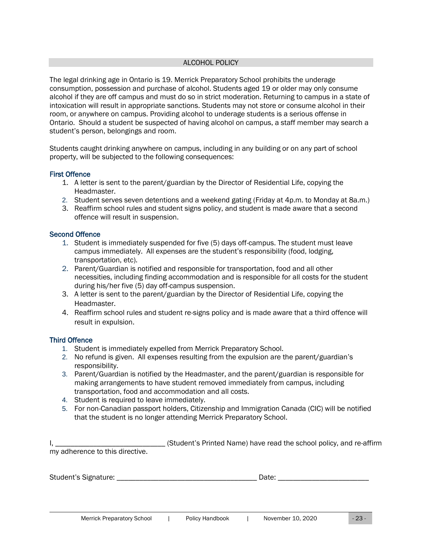#### ALCOHOL POLICY

<span id="page-22-0"></span>The legal drinking age in Ontario is 19. Merrick Preparatory School prohibits the underage consumption, possession and purchase of alcohol. Students aged 19 or older may only consume alcohol if they are off campus and must do so in strict moderation. Returning to campus in a state of intoxication will result in appropriate sanctions. Students may not store or consume alcohol in their room, or anywhere on campus. Providing alcohol to underage students is a serious offense in Ontario. Should a student be suspected of having alcohol on campus, a staff member may search a student's person, belongings and room.

Students caught drinking anywhere on campus, including in any building or on any part of school property, will be subjected to the following consequences:

#### First Offence

- 1. A letter is sent to the parent/guardian by the Director of Residential Life, copying the Headmaster.
- 2. Student serves seven detentions and a weekend gating (Friday at 4p.m. to Monday at 8a.m.)
- 3. Reaffirm school rules and student signs policy, and student is made aware that a second offence will result in suspension.

#### Second Offence

- 1. Student is immediately suspended for five (5) days off-campus. The student must leave campus immediately. All expenses are the student's responsibility (food, lodging, transportation, etc).
- 2. Parent/Guardian is notified and responsible for transportation, food and all other necessities, including finding accommodation and is responsible for all costs for the student during his/her five (5) day off-campus suspension.
- 3. A letter is sent to the parent/guardian by the Director of Residential Life, copying the Headmaster.
- 4. Reaffirm school rules and student re-signs policy and is made aware that a third offence will result in expulsion.

#### Third Offence

- 1. Student is immediately expelled from Merrick Preparatory School.
- 2. No refund is given. All expenses resulting from the expulsion are the parent/guardian's responsibility.
- 3. Parent/Guardian is notified by the Headmaster, and the parent/guardian is responsible for making arrangements to have student removed immediately from campus, including transportation, food and accommodation and all costs.
- 4. Student is required to leave immediately.
- 5. For non-Canadian passport holders, Citizenship and Immigration Canada (CIC) will be notified that the student is no longer attending Merrick Preparatory School.

|                                 | (Student's Printed Name) have read the school policy, and re-affirm |  |
|---------------------------------|---------------------------------------------------------------------|--|
| my adherence to this directive. |                                                                     |  |

Student's Signature: \_\_\_\_\_\_\_\_\_\_\_\_\_\_\_\_\_\_\_\_\_\_\_\_\_\_\_\_\_\_\_\_\_\_\_\_\_ Date: \_\_\_\_\_\_\_\_\_\_\_\_\_\_\_\_\_\_\_\_\_\_\_\_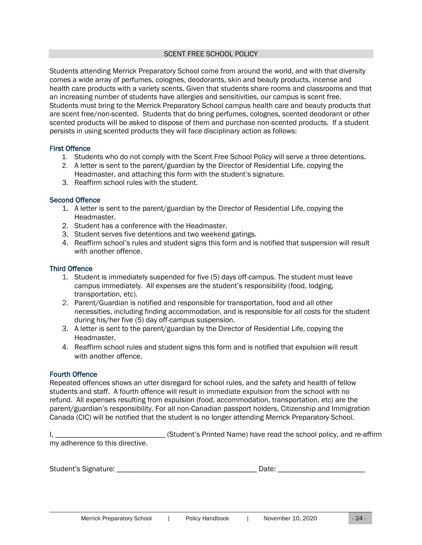#### SCENT FREE SCHOOL POLICY

<span id="page-23-0"></span>Students attending Merrick Preparatory School come from around the world, and with that diversity comes a wide array of perfumes, colognes, deodorants, skin and beauty products, incense and health care products with a variety scents. Given that students share rooms and classrooms and that an increasing number of students have allergies and sensitivities, our campus is scent free. Students must bring to the Merrick Preparatory School campus health care and beauty products that are scent free/non-scented. Students that do bring perfumes, colognes, scented deodorant or other scented products will be asked to dispose of them and purchase non-scented products. If a student persists in using scented products they will face disciplinary action as follows:

#### First Offence

- 1. Students who do not comply with the Scent Free School Policy will serve a three detentions.
- 2. A letter is sent to the parent/guardian by the Director of Residential Life, copying the Headmaster, and attaching this form with the student's signature.
- 3. Reaffirm school rules with the student.

#### Second Offence

- 1. A letter is sent to the parent/guardian by the Director of Residential Life, copying the Headmaster.
- 2. Student has a conference with the Headmaster.
- 3. Student serves five detentions and two weekend gatings.
- 4. Reaffirm school's rules and student signs this form and is notified that suspension will result with another offence.

#### Third Offence

- 1. Student is immediately suspended for five (5) days off-campus. The student must leave campus immediately. All expenses are the student's responsibility (food, lodging, transportation, etc).
- 2. Parent/Guardian is notified and responsible for transportation, food and all other necessities, including finding accommodation, and is responsible for all costs for the student during his/her five (5) day off-campus suspension.
- 3. A letter is sent to the parent/guardian by the Director of Residential Life, copying the Headmaster.
- 4. Reaffirm school rules and student signs this form and is notified that expulsion will result with another offence.

#### Fourth Offence

Repeated offences shows an utter disregard for school rules, and the safety and health of fellow students and staff. A fourth offence will result in immediate expulsion from the school with no refund. All expenses resulting from expulsion (food, accommodation, transportation, etc) are the parent/guardian's responsibility. For all non-Canadian passport holders, Citizenship and Immigration Canada (CIC) will be notified that the student is no longer attending Merrick Preparatory School.

|                                 | (Student's Printed Name) have read the school policy, and re-affirm |
|---------------------------------|---------------------------------------------------------------------|
| my adherence to this directive. |                                                                     |

| Student's Signature: |  |
|----------------------|--|
|----------------------|--|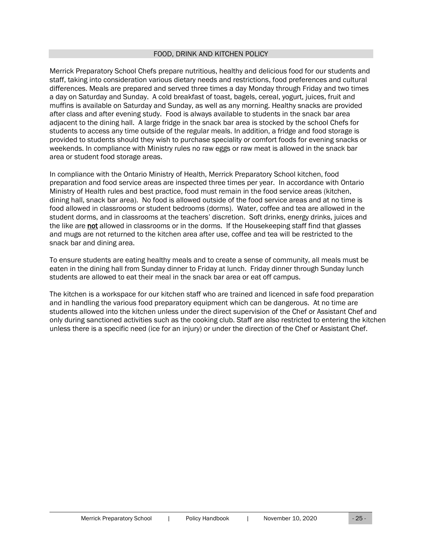#### FOOD, DRINK AND KITCHEN POLICY

<span id="page-24-0"></span>Merrick Preparatory School Chefs prepare nutritious, healthy and delicious food for our students and staff, taking into consideration various dietary needs and restrictions, food preferences and cultural differences. Meals are prepared and served three times a day Monday through Friday and two times a day on Saturday and Sunday. A cold breakfast of toast, bagels, cereal, yogurt, juices, fruit and muffins is available on Saturday and Sunday, as well as any morning. Healthy snacks are provided after class and after evening study. Food is always available to students in the snack bar area adjacent to the dining hall. A large fridge in the snack bar area is stocked by the school Chefs for students to access any time outside of the regular meals. In addition, a fridge and food storage is provided to students should they wish to purchase speciality or comfort foods for evening snacks or weekends. In compliance with Ministry rules no raw eggs or raw meat is allowed in the snack bar area or student food storage areas.

In compliance with the Ontario Ministry of Health, Merrick Preparatory School kitchen, food preparation and food service areas are inspected three times per year. In accordance with Ontario Ministry of Health rules and best practice, food must remain in the food service areas (kitchen, dining hall, snack bar area). No food is allowed outside of the food service areas and at no time is food allowed in classrooms or student bedrooms (dorms). Water, coffee and tea are allowed in the student dorms, and in classrooms at the teachers' discretion. Soft drinks, energy drinks, juices and the like are not allowed in classrooms or in the dorms. If the Housekeeping staff find that glasses and mugs are not returned to the kitchen area after use, coffee and tea will be restricted to the snack bar and dining area.

To ensure students are eating healthy meals and to create a sense of community, all meals must be eaten in the dining hall from Sunday dinner to Friday at lunch. Friday dinner through Sunday lunch students are allowed to eat their meal in the snack bar area or eat off campus.

The kitchen is a workspace for our kitchen staff who are trained and licenced in safe food preparation and in handling the various food preparatory equipment which can be dangerous. At no time are students allowed into the kitchen unless under the direct supervision of the Chef or Assistant Chef and only during sanctioned activities such as the cooking club. Staff are also restricted to entering the kitchen unless there is a specific need (ice for an injury) or under the direction of the Chef or Assistant Chef.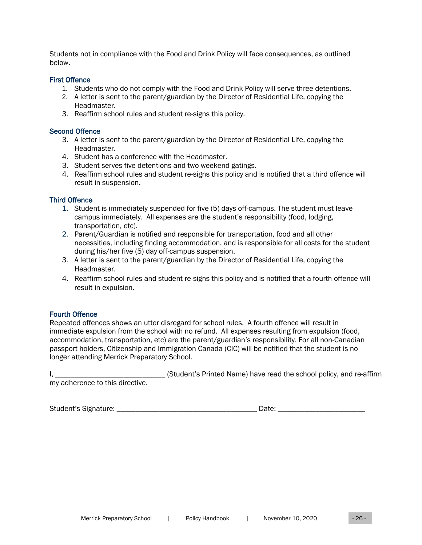Students not in compliance with the Food and Drink Policy will face consequences, as outlined below.

#### First Offence

- 1. Students who do not comply with the Food and Drink Policy will serve three detentions.
- 2. A letter is sent to the parent/guardian by the Director of Residential Life, copying the Headmaster.
- 3. Reaffirm school rules and student re-signs this policy.

#### Second Offence

- 3. A letter is sent to the parent/guardian by the Director of Residential Life, copying the Headmaster.
- 4. Student has a conference with the Headmaster.
- 3. Student serves five detentions and two weekend gatings.
- 4. Reaffirm school rules and student re-signs this policy and is notified that a third offence will result in suspension.

#### Third Offence

- 1. Student is immediately suspended for five (5) days off-campus. The student must leave campus immediately. All expenses are the student's responsibility (food, lodging, transportation, etc).
- 2. Parent/Guardian is notified and responsible for transportation, food and all other necessities, including finding accommodation, and is responsible for all costs for the student during his/her five (5) day off-campus suspension.
- 3. A letter is sent to the parent/guardian by the Director of Residential Life, copying the Headmaster.
- 4. Reaffirm school rules and student re-signs this policy and is notified that a fourth offence will result in expulsion.

## Fourth Offence

Repeated offences shows an utter disregard for school rules. A fourth offence will result in immediate expulsion from the school with no refund. All expenses resulting from expulsion (food, accommodation, transportation, etc) are the parent/guardian's responsibility. For all non-Canadian passport holders, Citizenship and Immigration Canada (CIC) will be notified that the student is no longer attending Merrick Preparatory School.

|                                 | . (Student's Printed Name) have read the school policy, and re-affirm |
|---------------------------------|-----------------------------------------------------------------------|
| my adherence to this directive. |                                                                       |

Student's Signature: \_\_\_\_\_\_\_\_\_\_\_\_\_\_\_\_\_\_\_\_\_\_\_\_\_\_\_\_\_\_\_\_\_\_\_\_\_ Date: \_\_\_\_\_\_\_\_\_\_\_\_\_\_\_\_\_\_\_\_\_\_\_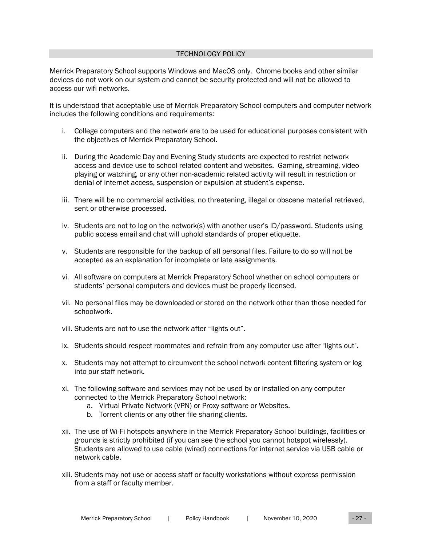#### TECHNOLOGY POLICY

<span id="page-26-0"></span>Merrick Preparatory School supports Windows and MacOS only. Chrome books and other similar devices do not work on our system and cannot be security protected and will not be allowed to access our wifi networks.

It is understood that acceptable use of Merrick Preparatory School computers and computer network includes the following conditions and requirements:

- i. College computers and the network are to be used for educational purposes consistent with the objectives of Merrick Preparatory School.
- ii. During the Academic Day and Evening Study students are expected to restrict network access and device use to school related content and websites. Gaming, streaming, video playing or watching, or any other non-academic related activity will result in restriction or denial of internet access, suspension or expulsion at student's expense.
- iii. There will be no commercial activities, no threatening, illegal or obscene material retrieved, sent or otherwise processed.
- iv. Students are not to log on the network(s) with another user's ID/password. Students using public access email and chat will uphold standards of proper etiquette.
- v. Students are responsible for the backup of all personal files. Failure to do so will not be accepted as an explanation for incomplete or late assignments.
- vi. All software on computers at Merrick Preparatory School whether on school computers or students' personal computers and devices must be properly licensed.
- vii. No personal files may be downloaded or stored on the network other than those needed for schoolwork.
- viii. Students are not to use the network after "lights out".
- ix. Students should respect roommates and refrain from any computer use after "lights out".
- x. Students may not attempt to circumvent the school network content filtering system or log into our staff network.
- xi. The following software and services may not be used by or installed on any computer connected to the Merrick Preparatory School network:
	- a. Virtual Private Network (VPN) or Proxy software or Websites.
	- b. Torrent clients or any other file sharing clients.
- xii. The use of Wi-Fi hotspots anywhere in the Merrick Preparatory School buildings, facilities or grounds is strictly prohibited (if you can see the school you cannot hotspot wirelessly). Students are allowed to use cable (wired) connections for internet service via USB cable or network cable.
- xiii. Students may not use or access staff or faculty workstations without express permission from a staff or faculty member.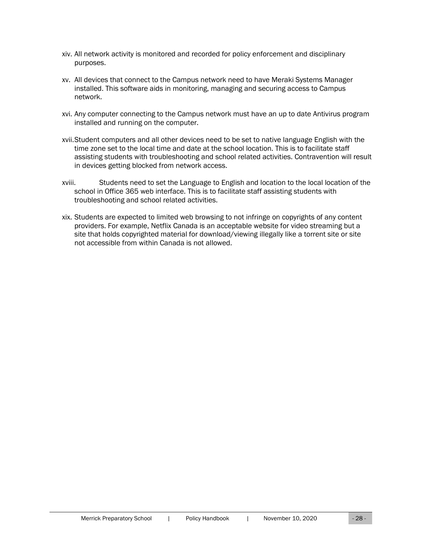- xiv. All network activity is monitored and recorded for policy enforcement and disciplinary purposes.
- xv. All devices that connect to the Campus network need to have Meraki Systems Manager installed. This software aids in monitoring, managing and securing access to Campus network.
- xvi. Any computer connecting to the Campus network must have an up to date Antivirus program installed and running on the computer.
- xvii.Student computers and all other devices need to be set to native language English with the time zone set to the local time and date at the school location. This is to facilitate staff assisting students with troubleshooting and school related activities. Contravention will result in devices getting blocked from network access.
- xviii. Students need to set the Language to English and location to the local location of the school in Office 365 web interface. This is to facilitate staff assisting students with troubleshooting and school related activities.
- xix. Students are expected to limited web browsing to not infringe on copyrights of any content providers. For example, Netflix Canada is an acceptable website for video streaming but a site that holds copyrighted material for download/viewing illegally like a torrent site or site not accessible from within Canada is not allowed.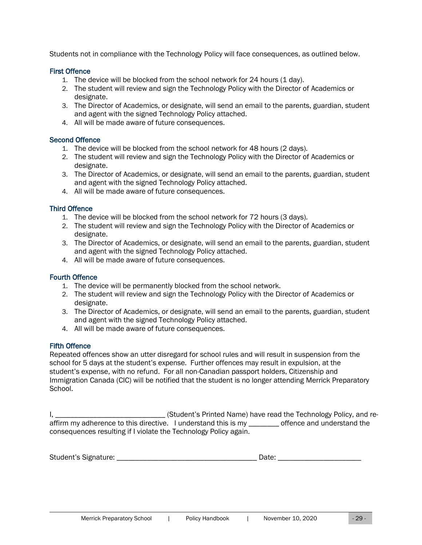Students not in compliance with the Technology Policy will face consequences, as outlined below.

#### First Offence

- 1. The device will be blocked from the school network for 24 hours (1 day).
- 2. The student will review and sign the Technology Policy with the Director of Academics or designate.
- 3. The Director of Academics, or designate, will send an email to the parents, guardian, student and agent with the signed Technology Policy attached.
- 4. All will be made aware of future consequences.

#### Second Offence

- 1. The device will be blocked from the school network for 48 hours (2 days).
- 2. The student will review and sign the Technology Policy with the Director of Academics or designate.
- 3. The Director of Academics, or designate, will send an email to the parents, guardian, student and agent with the signed Technology Policy attached.
- 4. All will be made aware of future consequences.

## Third Offence

- 1. The device will be blocked from the school network for 72 hours (3 days).
- 2. The student will review and sign the Technology Policy with the Director of Academics or designate.
- 3. The Director of Academics, or designate, will send an email to the parents, guardian, student and agent with the signed Technology Policy attached.
- 4. All will be made aware of future consequences.

## Fourth Offence

- 1. The device will be permanently blocked from the school network.
- 2. The student will review and sign the Technology Policy with the Director of Academics or designate.
- 3. The Director of Academics, or designate, will send an email to the parents, guardian, student and agent with the signed Technology Policy attached.
- 4. All will be made aware of future consequences.

## Fifth Offence

Repeated offences show an utter disregard for school rules and will result in suspension from the school for 5 days at the student's expense. Further offences may result in expulsion, at the student's expense, with no refund. For all non-Canadian passport holders, Citizenship and Immigration Canada (CIC) will be notified that the student is no longer attending Merrick Preparatory School.

I, \_\_\_\_\_\_\_\_\_\_\_\_\_\_\_\_\_\_\_\_\_\_\_\_\_\_\_\_\_ (Student's Printed Name) have read the Technology Policy, and reaffirm my adherence to this directive. I understand this is my \_\_\_\_\_\_\_\_ offence and understand the consequences resulting if I violate the Technology Policy again.

Student's Signature: \_\_\_\_\_\_\_\_\_\_\_\_\_\_\_\_\_\_\_\_\_\_\_\_\_\_\_\_\_\_\_\_\_\_\_\_\_ Date: \_\_\_\_\_\_\_\_\_\_\_\_\_\_\_\_\_\_\_\_\_\_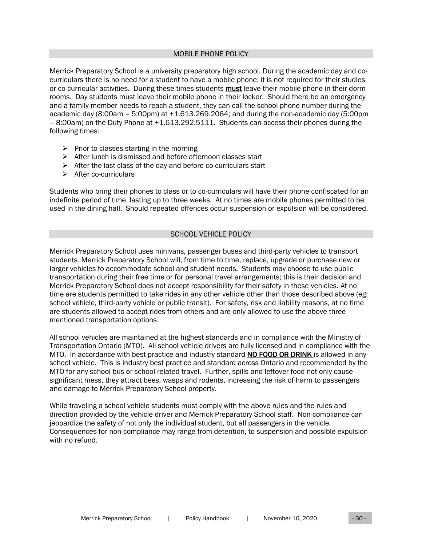#### MOBILE PHONE POLICY

<span id="page-29-0"></span>Merrick Preparatory School is a university preparatory high school. During the academic day and cocurriculars there is no need for a student to have a mobile phone; it is not required for their studies or co-curricular activities. During these times students must leave their mobile phone in their dorm rooms. Day students must leave their mobile phone in their locker. Should there be an emergency and a family member needs to reach a student, they can call the school phone number during the academic day (8:00am – 5:00pm) at +1.613.269.2064; and during the non-academic day (5:00pm – 8:00am) on the Duty Phone at +1.613.292.5111. Students can access their phones during the following times:

- $\triangleright$  Prior to classes starting in the morning
- ➢ After lunch is dismissed and before afternoon classes start
- $\triangleright$  After the last class of the day and before co-curriculars start
- ➢ After co-curriculars

Students who bring their phones to class or to co-curriculars will have their phone confiscated for an indefinite period of time, lasting up to three weeks. At no times are mobile phones permitted to be used in the dining hall. Should repeated offences occur suspension or expulsion will be considered.

## SCHOOL VEHICLE POLICY

<span id="page-29-1"></span>Merrick Preparatory School uses minivans, passenger buses and third-party vehicles to transport students. Merrick Preparatory School will, from time to time, replace, upgrade or purchase new or larger vehicles to accommodate school and student needs. Students may choose to use public transportation during their free time or for personal travel arrangements; this is their decision and Merrick Preparatory School does not accept responsibility for their safety in these vehicles. At no time are students permitted to take rides in any other vehicle other than those described above (eg: school vehicle, third-party vehicle or public transit). For safety, risk and liability reasons, at no time are students allowed to accept rides from others and are only allowed to use the above three mentioned transportation options.

All school vehicles are maintained at the highest standards and in compliance with the Ministry of Transportation Ontario (MTO). All school vehicle drivers are fully licensed and in compliance with the MTO. In accordance with best practice and industry standard NO FOOD OR DRINK is allowed in any school vehicle. This is industry best practice and standard across Ontario and recommended by the MTO for any school bus or school related travel. Further, spills and leftover food not only cause significant mess, they attract bees, wasps and rodents, increasing the risk of harm to passengers and damage to Merrick Preparatory School property.

While traveling a school vehicle students must comply with the above rules and the rules and direction provided by the vehicle driver and Merrick Preparatory School staff. Non-compliance can jeopardize the safety of not only the individual student, but all passengers in the vehicle. Consequences for non-compliance may range from detention, to suspension and possible expulsion with no refund.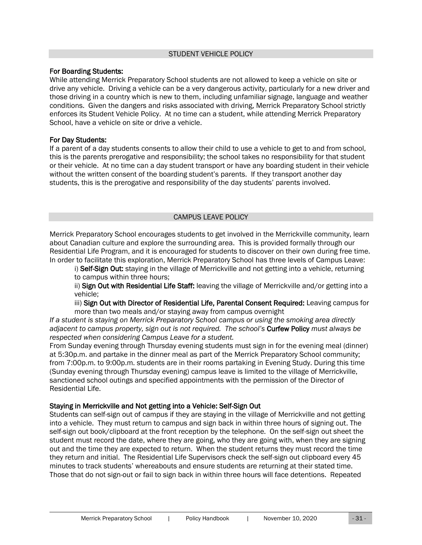#### STUDENT VEHICLE POLICY

#### <span id="page-30-0"></span>For Boarding Students:

While attending Merrick Preparatory School students are not allowed to keep a vehicle on site or drive any vehicle. Driving a vehicle can be a very dangerous activity, particularly for a new driver and those driving in a country which is new to them, including unfamiliar signage, language and weather conditions. Given the dangers and risks associated with driving, Merrick Preparatory School strictly enforces its Student Vehicle Policy. At no time can a student, while attending Merrick Preparatory School, have a vehicle on site or drive a vehicle.

#### For Day Students:

If a parent of a day students consents to allow their child to use a vehicle to get to and from school, this is the parents prerogative and responsibility; the school takes no responsibility for that student or their vehicle. At no time can a day student transport or have any boarding student in their vehicle without the written consent of the boarding student's parents. If they transport another day students, this is the prerogative and responsibility of the day students' parents involved.

## CAMPUS LEAVE POLICY

<span id="page-30-1"></span>Merrick Preparatory School encourages students to get involved in the Merrickville community, learn about Canadian culture and explore the surrounding area. This is provided formally through our Residential Life Program, and it is encouraged for students to discover on their own during free time. In order to facilitate this exploration, Merrick Preparatory School has three levels of Campus Leave:

i) Self-Sign Out: staying in the village of Merrickville and not getting into a vehicle, returning to campus within three hours;

ii) Sign Out with Residential Life Staff: leaving the village of Merrickville and/or getting into a vehicle;

iii) Sign Out with Director of Residential Life, Parental Consent Required: Leaving campus for more than two meals and/or staying away from campus overnight

*If a student is staying on Merrick Preparatory School campus or using the smoking area directly adjacent to campus property, sign out is not required. The school's* Curfew Policy *must always be respected when considering Campus Leave for a student.*

From Sunday evening through Thursday evening students must sign in for the evening meal (dinner) at 5:30p.m. and partake in the dinner meal as part of the Merrick Preparatory School community; from 7:00p.m. to 9:00p.m. students are in their rooms partaking in Evening Study. During this time (Sunday evening through Thursday evening) campus leave is limited to the village of Merrickville, sanctioned school outings and specified appointments with the permission of the Director of Residential Life.

## Staying in Merrickville and Not getting into a Vehicle: Self-Sign Out

Students can self-sign out of campus if they are staying in the village of Merrickville and not getting into a vehicle. They must return to campus and sign back in within three hours of signing out. The self-sign out book/clipboard at the front reception by the telephone. On the self-sign out sheet the student must record the date, where they are going, who they are going with, when they are signing out and the time they are expected to return. When the student returns they must record the time they return and initial. The Residential Life Supervisors check the self-sign out clipboard every 45 minutes to track students' whereabouts and ensure students are returning at their stated time. Those that do not sign-out or fail to sign back in within three hours will face detentions. Repeated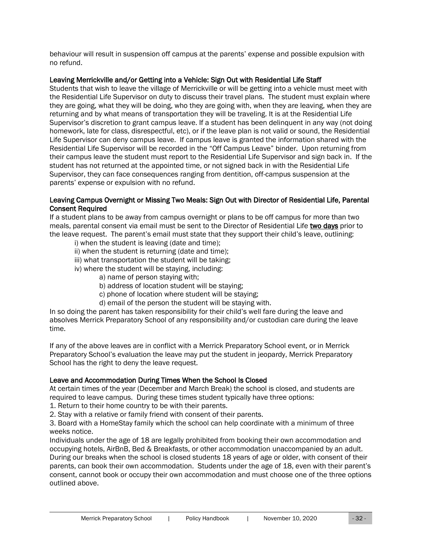behaviour will result in suspension off campus at the parents' expense and possible expulsion with no refund.

## Leaving Merrickville and/or Getting into a Vehicle: Sign Out with Residential Life Staff

Students that wish to leave the village of Merrickville or will be getting into a vehicle must meet with the Residential Life Supervisor on duty to discuss their travel plans. The student must explain where they are going, what they will be doing, who they are going with, when they are leaving, when they are returning and by what means of transportation they will be traveling. It is at the Residential Life Supervisor's discretion to grant campus leave. If a student has been delinquent in any way (not doing homework, late for class, disrespectful, etc), or if the leave plan is not valid or sound, the Residential Life Supervisor can deny campus leave. If campus leave is granted the information shared with the Residential Life Supervisor will be recorded in the "Off Campus Leave" binder. Upon returning from their campus leave the student must report to the Residential Life Supervisor and sign back in. If the student has not returned at the appointed time, or not signed back in with the Residential Life Supervisor, they can face consequences ranging from dentition, off-campus suspension at the parents' expense or expulsion with no refund.

## Leaving Campus Overnight or Missing Two Meals: Sign Out with Director of Residential Life, Parental Consent Required

If a student plans to be away from campus overnight or plans to be off campus for more than two meals, parental consent via email must be sent to the Director of Residential Life two days prior to the leave request. The parent's email must state that they support their child's leave, outlining:

- i) when the student is leaving (date and time);
- ii) when the student is returning (date and time);
- iii) what transportation the student will be taking;
- iv) where the student will be staying, including:
	- a) name of person staying with;
	- b) address of location student will be staying;
	- c) phone of location where student will be staying;
	- d) email of the person the student will be staying with.

In so doing the parent has taken responsibility for their child's well fare during the leave and absolves Merrick Preparatory School of any responsibility and/or custodian care during the leave time.

If any of the above leaves are in conflict with a Merrick Preparatory School event, or in Merrick Preparatory School's evaluation the leave may put the student in jeopardy, Merrick Preparatory School has the right to deny the leave request.

## Leave and Accommodation During Times When the School Is Closed

At certain times of the year (December and March Break) the school is closed, and students are required to leave campus. During these times student typically have three options:

1. Return to their home country to be with their parents.

2. Stay with a relative or family friend with consent of their parents.

3. Board with a HomeStay family which the school can help coordinate with a minimum of three weeks notice.

Individuals under the age of 18 are legally prohibited from booking their own accommodation and occupying hotels, AirBnB, Bed & Breakfasts, or other accommodation unaccompanied by an adult. During our breaks when the school is closed students 18 years of age or older, with consent of their parents, can book their own accommodation. Students under the age of 18, even with their parent's consent, cannot book or occupy their own accommodation and must choose one of the three options outlined above.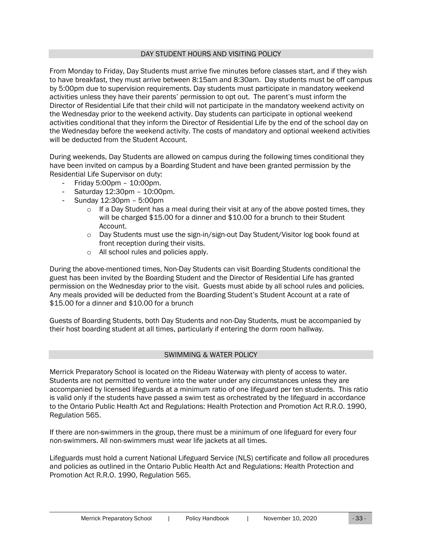#### DAY STUDENT HOURS AND VISITING POLICY

<span id="page-32-0"></span>From Monday to Friday, Day Students must arrive five minutes before classes start, and if they wish to have breakfast, they must arrive between 8:15am and 8:30am. Day students must be off campus by 5:00pm due to supervision requirements. Day students must participate in mandatory weekend activities unless they have their parents' permission to opt out. The parent's must inform the Director of Residential Life that their child will not participate in the mandatory weekend activity on the Wednesday prior to the weekend activity. Day students can participate in optional weekend activities conditional that they inform the Director of Residential Life by the end of the school day on the Wednesday before the weekend activity. The costs of mandatory and optional weekend activities will be deducted from the Student Account.

During weekends, Day Students are allowed on campus during the following times conditional they have been invited on campus by a Boarding Student and have been granted permission by the Residential Life Supervisor on duty:

- Friday 5:00pm 10:00pm.
- Saturday 12:30pm 10:00pm.
- Sunday 12:30pm 5:00pm
	- $\circ$  If a Day Student has a meal during their visit at any of the above posted times, they will be charged \$15.00 for a dinner and \$10.00 for a brunch to their Student Account.
	- o Day Students must use the sign-in/sign-out Day Student/Visitor log book found at front reception during their visits.
	- o All school rules and policies apply.

During the above-mentioned times, Non-Day Students can visit Boarding Students conditional the guest has been invited by the Boarding Student and the Director of Residential Life has granted permission on the Wednesday prior to the visit. Guests must abide by all school rules and policies. Any meals provided will be deducted from the Boarding Student's Student Account at a rate of \$15.00 for a dinner and \$10.00 for a brunch

Guests of Boarding Students, both Day Students and non-Day Students, must be accompanied by their host boarding student at all times, particularly if entering the dorm room hallway.

## SWIMMING & WATER POLICY

<span id="page-32-1"></span>Merrick Preparatory School is located on the Rideau Waterway with plenty of access to water. Students are not permitted to venture into the water under any circumstances unless they are accompanied by licensed lifeguards at a minimum ratio of one lifeguard per ten students. This ratio is valid only if the students have passed a swim test as orchestrated by the lifeguard in accordance to the Ontario Public Health Act and Regulations: Health Protection and Promotion Act R.R.O. 1990, Regulation 565.

If there are non-swimmers in the group, there must be a minimum of one lifeguard for every four non-swimmers. All non-swimmers must wear life jackets at all times.

Lifeguards must hold a current National Lifeguard Service (NLS) certificate and follow all procedures and policies as outlined in the Ontario Public Health Act and Regulations: Health Protection and Promotion Act R.R.O. 1990, Regulation 565.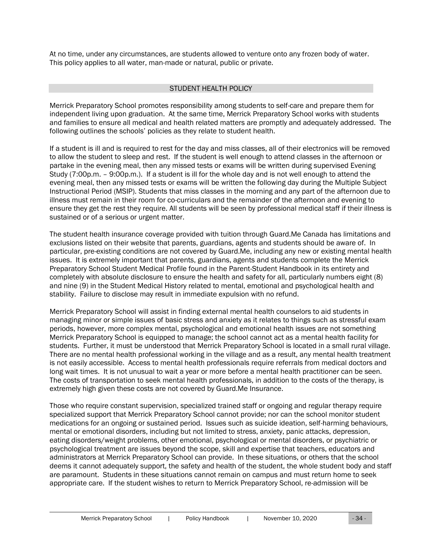At no time, under any circumstances, are students allowed to venture onto any frozen body of water. This policy applies to all water, man-made or natural, public or private.

#### STUDENT HEALTH POLICY

<span id="page-33-0"></span>Merrick Preparatory School promotes responsibility among students to self-care and prepare them for independent living upon graduation. At the same time, Merrick Preparatory School works with students and families to ensure all medical and health related matters are promptly and adequately addressed. The following outlines the schools' policies as they relate to student health.

If a student is ill and is required to rest for the day and miss classes, all of their electronics will be removed to allow the student to sleep and rest. If the student is well enough to attend classes in the afternoon or partake in the evening meal, then any missed tests or exams will be written during supervised Evening Study (7:00p.m. – 9:00p.m.). If a student is ill for the whole day and is not well enough to attend the evening meal, then any missed tests or exams will be written the following day during the Multiple Subject Instructional Period (MSIP). Students that miss classes in the morning and any part of the afternoon due to illness must remain in their room for co-curriculars and the remainder of the afternoon and evening to ensure they get the rest they require. All students will be seen by professional medical staff if their illness is sustained or of a serious or urgent matter.

The student health insurance coverage provided with tuition through Guard.Me Canada has limitations and exclusions listed on their website that parents, guardians, agents and students should be aware of. In particular, pre-existing conditions are not covered by Guard.Me, including any new or existing mental health issues. It is extremely important that parents, guardians, agents and students complete the Merrick Preparatory School Student Medical Profile found in the Parent-Student Handbook in its entirety and completely with absolute disclosure to ensure the health and safety for all, particularly numbers eight (8) and nine (9) in the Student Medical History related to mental, emotional and psychological health and stability. Failure to disclose may result in immediate expulsion with no refund.

Merrick Preparatory School will assist in finding external mental health counselors to aid students in managing minor or simple issues of basic stress and anxiety as it relates to things such as stressful exam periods, however, more complex mental, psychological and emotional health issues are not something Merrick Preparatory School is equipped to manage; the school cannot act as a mental health facility for students. Further, it must be understood that Merrick Preparatory School is located in a small rural village. There are no mental health professional working in the village and as a result, any mental health treatment is not easily accessible. Access to mental health professionals require referrals from medical doctors and long wait times. It is not unusual to wait a year or more before a mental health practitioner can be seen. The costs of transportation to seek mental health professionals, in addition to the costs of the therapy, is extremely high given these costs are not covered by Guard.Me Insurance.

Those who require constant supervision, specialized trained staff or ongoing and regular therapy require specialized support that Merrick Preparatory School cannot provide; nor can the school monitor student medications for an ongoing or sustained period. Issues such as suicide ideation, self-harming behaviours, mental or emotional disorders, including but not limited to stress, anxiety, panic attacks, depression, eating disorders/weight problems, other emotional, psychological or mental disorders, or psychiatric or psychological treatment are issues beyond the scope, skill and expertise that teachers, educators and administrators at Merrick Preparatory School can provide. In these situations, or others that the school deems it cannot adequately support, the safety and health of the student, the whole student body and staff are paramount. Students in these situations cannot remain on campus and must return home to seek appropriate care. If the student wishes to return to Merrick Preparatory School, re-admission will be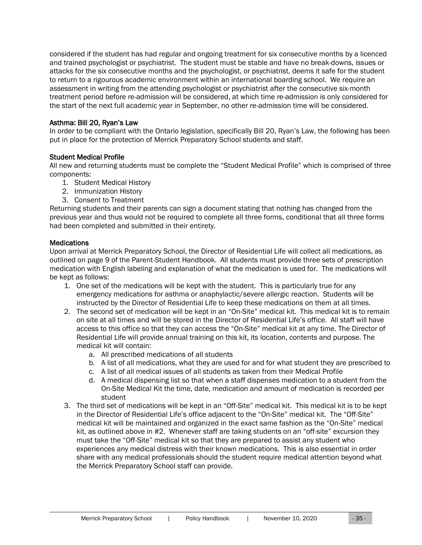considered if the student has had regular and ongoing treatment for six consecutive months by a licenced and trained psychologist or psychiatrist. The student must be stable and have no break-downs, issues or attacks for the six consecutive months and the psychologist, or psychiatrist, deems it safe for the student to return to a rigourous academic environment within an international boarding school. We require an assessment in writing from the attending psychologist or psychiatrist after the consecutive six-month treatment period before re-admission will be considered, at which time re-admission is only considered for the start of the next full academic year in September, no other re-admission time will be considered.

## Asthma: Bill 20, Ryan's Law

In order to be compliant with the Ontario legislation, specifically Bill 20, Ryan's Law, the following has been put in place for the protection of Merrick Preparatory School students and staff.

## Student Medical Profile

All new and returning students must be complete the "Student Medical Profile" which is comprised of three components:

- 1. Student Medical History
- 2. Immunization History
- 3. Consent to Treatment

Returning students and their parents can sign a document stating that nothing has changed from the previous year and thus would not be required to complete all three forms, conditional that all three forms had been completed and submitted in their entirety.

#### **Medications**

Upon arrival at Merrick Preparatory School, the Director of Residential Life will collect all medications, as outlined on page 9 of the Parent-Student Handbook. All students must provide three sets of prescription medication with English labeling and explanation of what the medication is used for. The medications will be kept as follows:

- 1. One set of the medications will be kept with the student. This is particularly true for any emergency medications for asthma or anaphylactic/severe allergic reaction. Students will be instructed by the Director of Residential Life to keep these medications on them at all times.
- 2. The second set of medication will be kept in an "On-Site" medical kit. This medical kit is to remain on site at all times and will be stored in the Director of Residential Life's office. All staff will have access to this office so that they can access the "On-Site" medical kit at any time. The Director of Residential Life will provide annual training on this kit, its location, contents and purpose. The medical kit will contain:
	- a. All prescribed medications of all students
	- b. A list of all medications, what they are used for and for what student they are prescribed to
	- c. A list of all medical issues of all students as taken from their Medical Profile
	- d. A medical dispensing list so that when a staff dispenses medication to a student from the On-Site Medical Kit the time, date, medication and amount of medication is recorded per student
- 3. The third set of medications will be kept in an "Off-Site" medical kit. This medical kit is to be kept in the Director of Residential Life's office adjacent to the "On-Site" medical kit. The "Off-Site" medical kit will be maintained and organized in the exact same fashion as the "On-Site" medical kit, as outlined above in #2. Whenever staff are taking students on an "off-site" excursion they must take the "Off-Site" medical kit so that they are prepared to assist any student who experiences any medical distress with their known medications. This is also essential in order share with any medical professionals should the student require medical attention beyond what the Merrick Preparatory School staff can provide.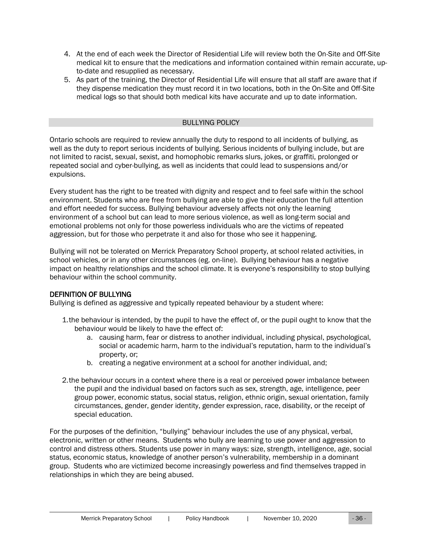- 4. At the end of each week the Director of Residential Life will review both the On-Site and Off-Site medical kit to ensure that the medications and information contained within remain accurate, upto-date and resupplied as necessary.
- 5. As part of the training, the Director of Residential Life will ensure that all staff are aware that if they dispense medication they must record it in two locations, both in the On-Site and Off-Site medical logs so that should both medical kits have accurate and up to date information.

#### BULLYING POLICY

<span id="page-35-0"></span>Ontario schools are required to review annually the duty to respond to all incidents of bullying, as well as the duty to report serious incidents of bullying. Serious incidents of bullying include, but are not limited to racist, sexual, sexist, and homophobic remarks slurs, jokes, or graffiti, prolonged or repeated social and cyber-bullying, as well as incidents that could lead to suspensions and/or expulsions.

Every student has the right to be treated with dignity and respect and to feel safe within the school environment. Students who are free from bullying are able to give their education the full attention and effort needed for success. Bullying behaviour adversely affects not only the learning environment of a school but can lead to more serious violence, as well as long-term social and emotional problems not only for those powerless individuals who are the victims of repeated aggression, but for those who perpetrate it and also for those who see it happening.

Bullying will not be tolerated on Merrick Preparatory School property, at school related activities, in school vehicles, or in any other circumstances (eg. on-line). Bullying behaviour has a negative impact on healthy relationships and the school climate. It is everyone's responsibility to stop bullying behaviour within the school community.

## DEFINITION OF BULLYING

Bullying is defined as aggressive and typically repeated behaviour by a student where:

- 1.the behaviour is intended, by the pupil to have the effect of, or the pupil ought to know that the behaviour would be likely to have the effect of:
	- a. causing harm, fear or distress to another individual, including physical, psychological, social or academic harm, harm to the individual's reputation, harm to the individual's property, or;
	- b. creating a negative environment at a school for another individual, and;
- 2.the behaviour occurs in a context where there is a real or perceived power imbalance between the pupil and the individual based on factors such as sex, strength, age, intelligence, peer group power, economic status, social status, religion, ethnic origin, sexual orientation, family circumstances, gender, gender identity, gender expression, race, disability, or the receipt of special education.

For the purposes of the definition, "bullying" behaviour includes the use of any physical, verbal, electronic, written or other means. Students who bully are learning to use power and aggression to control and distress others. Students use power in many ways: size, strength, intelligence, age, social status, economic status, knowledge of another person's vulnerability, membership in a dominant group. Students who are victimized become increasingly powerless and find themselves trapped in relationships in which they are being abused.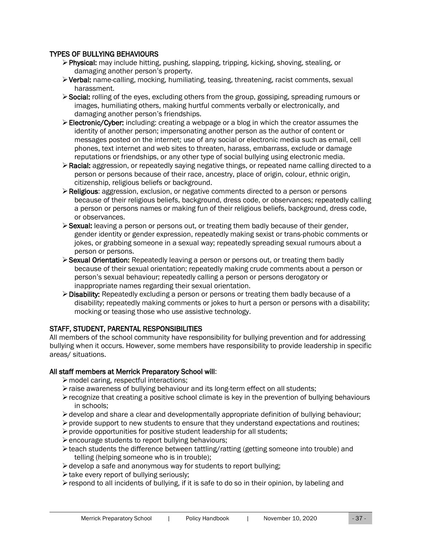## TYPES OF BULLYING BEHAVIOURS

- ➢Physical: may include hitting, pushing, slapping, tripping, kicking, shoving, stealing, or damaging another person's property.
- ➢Verbal: name-calling, mocking, humiliating, teasing, threatening, racist comments, sexual harassment.
- ➢Social: rolling of the eyes, excluding others from the group, gossiping, spreading rumours or images, humiliating others, making hurtful comments verbally or electronically, and damaging another person's friendships.
- ➢Electronic/Cyber: including: creating a webpage or a blog in which the creator assumes the identity of another person; impersonating another person as the author of content or messages posted on the internet; use of any social or electronic media such as email, cell phones, text internet and web sites to threaten, harass, embarrass, exclude or damage reputations or friendships, or any other type of social bullying using electronic media.
- ➢Racial: aggression, or repeatedly saying negative things, or repeated name calling directed to a person or persons because of their race, ancestry, place of origin, colour, ethnic origin, citizenship, religious beliefs or background.
- ➢Religious: aggression, exclusion, or negative comments directed to a person or persons because of their religious beliefs, background, dress code, or observances; repeatedly calling a person or persons names or making fun of their religious beliefs, background, dress code, or observances.
- ➢Sexual: leaving a person or persons out, or treating them badly because of their gender, gender identity or gender expression, repeatedly making sexist or trans-phobic comments or jokes, or grabbing someone in a sexual way; repeatedly spreading sexual rumours about a person or persons.
- ➢Sexual Orientation: Repeatedly leaving a person or persons out, or treating them badly because of their sexual orientation; repeatedly making crude comments about a person or person's sexual behaviour; repeatedly calling a person or persons derogatory or inappropriate names regarding their sexual orientation.
- ➢Disability: Repeatedly excluding a person or persons or treating them badly because of a disability; repeatedly making comments or jokes to hurt a person or persons with a disability; mocking or teasing those who use assistive technology.

## STAFF, STUDENT, PARENTAL RESPONSIBILITIES

All members of the school community have responsibility for bullying prevention and for addressing bullying when it occurs. However, some members have responsibility to provide leadership in specific areas/ situations.

## All staff members at Merrick Preparatory School will:

- ➢model caring, respectful interactions;
- ➢raise awareness of bullying behaviour and its long-term effect on all students;
- ➢recognize that creating a positive school climate is key in the prevention of bullying behaviours in schools;
- $\triangleright$  develop and share a clear and developmentally appropriate definition of bullying behaviour;
- $\triangleright$  provide support to new students to ensure that they understand expectations and routines;
- ➢provide opportunities for positive student leadership for all students;
- ➢encourage students to report bullying behaviours;
- $\triangleright$  teach students the difference between tattling/ratting (getting someone into trouble) and telling (helping someone who is in trouble);
- ➢develop a safe and anonymous way for students to report bullying;
- ➢take every report of bullying seriously;
- $\triangleright$  respond to all incidents of bullying, if it is safe to do so in their opinion, by labeling and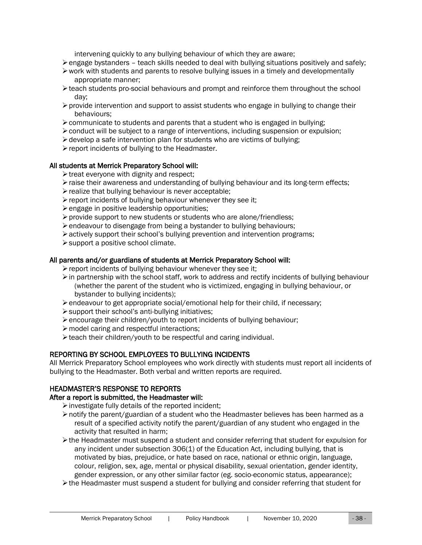intervening quickly to any bullying behaviour of which they are aware;

- $\triangleright$  engage bystanders teach skills needed to deal with bullying situations positively and safely;
- $\triangleright$  work with students and parents to resolve bullying issues in a timely and developmentally appropriate manner;
- $\triangleright$  teach students pro-social behaviours and prompt and reinforce them throughout the school day;
- $\triangleright$  provide intervention and support to assist students who engage in bullying to change their behaviours;
- $\triangleright$  communicate to students and parents that a student who is engaged in bullying;
- $\triangleright$  conduct will be subject to a range of interventions, including suspension or expulsion;
- $\triangleright$  develop a safe intervention plan for students who are victims of bullying;
- ➢report incidents of bullying to the Headmaster.

#### All students at Merrick Preparatory School will:

- ➢treat everyone with dignity and respect;
- $\triangleright$  raise their awareness and understanding of bullying behaviour and its long-term effects;
- ➢realize that bullying behaviour is never acceptable;
- $\triangleright$  report incidents of bullying behaviour whenever they see it;
- ➢engage in positive leadership opportunities;
- ➢provide support to new students or students who are alone/friendless;
- ➢endeavour to disengage from being a bystander to bullying behaviours;
- ➢actively support their school's bullying prevention and intervention programs;
- ➢support a positive school climate.

## All parents and/or guardians of students at Merrick Preparatory School will:

- $\triangleright$  report incidents of bullying behaviour whenever they see it;
- $\triangleright$  in partnership with the school staff, work to address and rectify incidents of bullying behaviour (whether the parent of the student who is victimized, engaging in bullying behaviour, or bystander to bullying incidents);
- ➢endeavour to get appropriate social/emotional help for their child, if necessary;
- ➢support their school's anti-bullying initiatives;
- ➢encourage their children/youth to report incidents of bullying behaviour;
- ➢model caring and respectful interactions;
- ➢teach their children/youth to be respectful and caring individual.

## REPORTING BY SCHOOL EMPLOYEES TO BULLYING INCIDENTS

All Merrick Preparatory School employees who work directly with students must report all incidents of bullying to the Headmaster. Both verbal and written reports are required.

## HEADMASTER'S RESPONSE TO REPORTS

## After a report is submitted, the Headmaster will:

➢investigate fully details of the reported incident;

- $\triangleright$  notify the parent/guardian of a student who the Headmaster believes has been harmed as a result of a specified activity notify the parent/guardian of any student who engaged in the activity that resulted in harm;
- ➢the Headmaster must suspend a student and consider referring that student for expulsion for any incident under subsection 306(1) of the Education Act, including bullying, that is motivated by bias, prejudice, or hate based on race, national or ethnic origin, language, colour, religion, sex, age, mental or physical disability, sexual orientation, gender identity, gender expression, or any other similar factor (eg. socio-economic status, appearance);
- ➢the Headmaster must suspend a student for bullying and consider referring that student for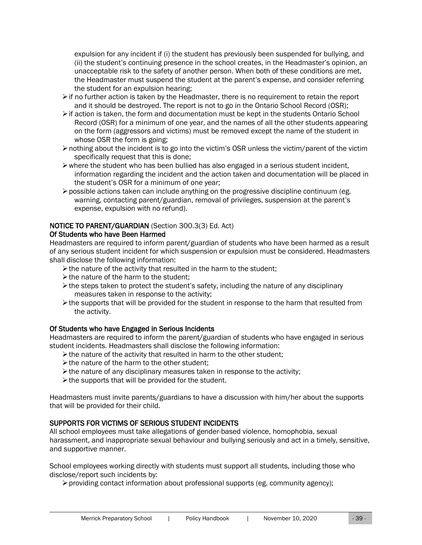expulsion for any incident if (i) the student has previously been suspended for bullying, and (ii) the student's continuing presence in the school creates, in the Headmaster's opinion, an unacceptable risk to the safety of another person. When both of these conditions are met, the Headmaster must suspend the student at the parent's expense, and consider referring the student for an expulsion hearing;

- $\triangleright$  if no further action is taken by the Headmaster, there is no requirement to retain the report and it should be destroyed. The report is not to go in the Ontario School Record (OSR);
- ➢if action is taken, the form and documentation must be kept in the students Ontario School Record (OSR) for a minimum of one year, and the names of all the other students appearing on the form (aggressors and victims) must be removed except the name of the student in whose OSR the form is going;
- $\triangleright$  nothing about the incident is to go into the victim's OSR unless the victim/parent of the victim specifically request that this is done;
- $\triangleright$  where the student who has been bullied has also engaged in a serious student incident, information regarding the incident and the action taken and documentation will be placed in the student's OSR for a minimum of one year;
- $\triangleright$  possible actions taken can include anything on the progressive discipline continuum (eg. warning, contacting parent/guardian, removal of privileges, suspension at the parent's expense, expulsion with no refund).

## NOTICE TO PARENT/GUARDIAN (Section 300.3(3) Ed. Act)

## Of Students who have Been Harmed

Headmasters are required to inform parent/guardian of students who have been harmed as a result of any serious student incident for which suspension or expulsion must be considered. Headmasters shall disclose the following information:

- ➢the nature of the activity that resulted in the harm to the student;
- ➢the nature of the harm to the student;
- $\triangleright$  the steps taken to protect the student's safety, including the nature of any disciplinary measures taken in response to the activity;
- $\triangleright$  the supports that will be provided for the student in response to the harm that resulted from the activity.

## Of Students who have Engaged in Serious Incidents

Headmasters are required to inform the parent/guardian of students who have engaged in serious student incidents. Headmasters shall disclose the following information:

- $\triangleright$  the nature of the activity that resulted in harm to the other student;
- ➢the nature of the harm to the other student;
- ➢the nature of any disciplinary measures taken in response to the activity;
- $\triangleright$  the supports that will be provided for the student.

Headmasters must invite parents/guardians to have a discussion with him/her about the supports that will be provided for their child.

## SUPPORTS FOR VICTIMS OF SERIOUS STUDENT INCIDENTS

All school employees must take allegations of gender-based violence, homophobia, sexual harassment, and inappropriate sexual behaviour and bullying seriously and act in a timely, sensitive, and supportive manner.

School employees working directly with students must support all students, including those who disclose/report such incidents by:

 $\triangleright$  providing contact information about professional supports (eg. community agency);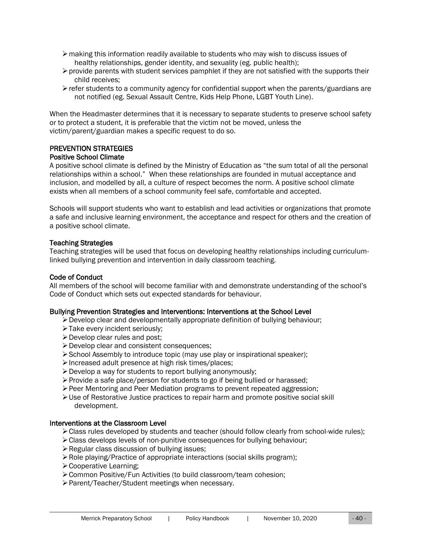- $\triangleright$  making this information readily available to students who may wish to discuss issues of healthy relationships, gender identity, and sexuality (eg. public health);
- $\triangleright$  provide parents with student services pamphlet if they are not satisfied with the supports their child receives;
- $\triangleright$  refer students to a community agency for confidential support when the parents/guardians are not notified (eg. Sexual Assault Centre, Kids Help Phone, LGBT Youth Line).

When the Headmaster determines that it is necessary to separate students to preserve school safety or to protect a student, it is preferable that the victim not be moved, unless the victim/parent/guardian makes a specific request to do so.

## PREVENTION STRATEGIES

Positive School Climate

A positive school climate is defined by the Ministry of Education as "the sum total of all the personal relationships within a school." When these relationships are founded in mutual acceptance and inclusion, and modelled by all, a culture of respect becomes the norm. A positive school climate exists when all members of a school community feel safe, comfortable and accepted.

Schools will support students who want to establish and lead activities or organizations that promote a safe and inclusive learning environment, the acceptance and respect for others and the creation of a positive school climate.

## Teaching Strategies

Teaching strategies will be used that focus on developing healthy relationships including curriculumlinked bullying prevention and intervention in daily classroom teaching.

## Code of Conduct

All members of the school will become familiar with and demonstrate understanding of the school's Code of Conduct which sets out expected standards for behaviour.

## Bullying Prevention Strategies and Interventions: Interventions at the School Level

- $\triangleright$  Develop clear and developmentally appropriate definition of bullying behaviour;
- ➢Take every incident seriously;
- ➢Develop clear rules and post;
- ➢Develop clear and consistent consequences;
- ➢School Assembly to introduce topic (may use play or inspirational speaker);
- ➢Increased adult presence at high risk times/places;
- ➢Develop a way for students to report bullying anonymously;
- ➢Provide a safe place/person for students to go if being bullied or harassed;
- ➢Peer Mentoring and Peer Mediation programs to prevent repeated aggression;
- ➢Use of Restorative Justice practices to repair harm and promote positive social skill development.

## Interventions at the Classroom Level

- ➢Class rules developed by students and teacher (should follow clearly from school-wide rules);
- ➢Class develops levels of non-punitive consequences for bullying behaviour;
- ➢Regular class discussion of bullying issues;
- ➢Role playing/Practice of appropriate interactions (social skills program);
- ➢Cooperative Learning;
- ➢Common Positive/Fun Activities (to build classroom/team cohesion;
- ➢Parent/Teacher/Student meetings when necessary.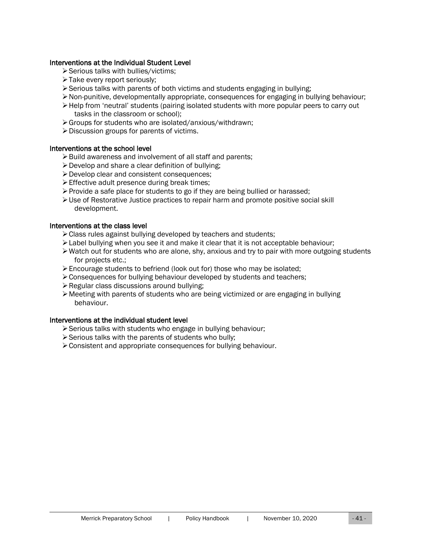#### Interventions at the Individual Student Level

- ➢Serious talks with bullies/victims;
- ➢Take every report seriously;
- $\triangleright$  Serious talks with parents of both victims and students engaging in bullying;
- ➢Non-punitive, developmentally appropriate, consequences for engaging in bullying behaviour;
- ➢Help from 'neutral' students (pairing isolated students with more popular peers to carry out tasks in the classroom or school);
- ➢Groups for students who are isolated/anxious/withdrawn;
- ➢Discussion groups for parents of victims.

#### Interventions at the school level

- ➢Build awareness and involvement of all staff and parents;
- ➢Develop and share a clear definition of bullying;
- ➢Develop clear and consistent consequences;
- ➢Effective adult presence during break times;
- $\triangleright$  Provide a safe place for students to go if they are being bullied or harassed;
- $\triangleright$  Use of Restorative Justice practices to repair harm and promote positive social skill development.

#### Interventions at the class level

- ➢Class rules against bullying developed by teachers and students;
- ➢Label bullying when you see it and make it clear that it is not acceptable behaviour;
- $\triangleright$  Watch out for students who are alone, shy, anxious and try to pair with more outgoing students for projects etc.;
- ➢Encourage students to befriend (look out for) those who may be isolated;
- ➢Consequences for bullying behaviour developed by students and teachers;
- ➢Regular class discussions around bullying;
- $\triangleright$  Meeting with parents of students who are being victimized or are engaging in bullying behaviour.

## Interventions at the individual student level

- ➢Serious talks with students who engage in bullying behaviour;
- ➢Serious talks with the parents of students who bully;
- ➢Consistent and appropriate consequences for bullying behaviour.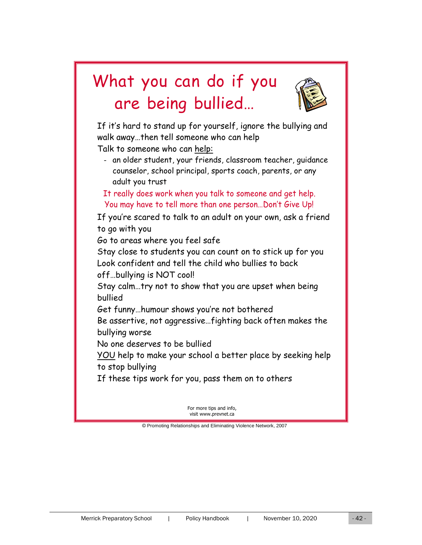## What you can do if you are being bullied…



If it's hard to stand up for yourself, ignore the bullying and walk away…then tell someone who can help Talk to someone who can help:

- an older student, your friends, classroom teacher, guidance counselor, school principal, sports coach, parents, or any adult you trust

It really does work when you talk to someone and get help. You may have to tell more than one person…Don't Give Up!

If you're scared to talk to an adult on your own, ask a friend to go with you

Go to areas where you feel safe

Stay close to students you can count on to stick up for you Look confident and tell the child who bullies to back off…bullying is NOT cool!

Stay calm…try not to show that you are upset when being bullied

Get funny…humour shows you're not bothered

Be assertive, not aggressive…fighting back often makes the bullying worse

No one deserves to be bullied

YOU help to make your school a better place by seeking help to stop bullying

If these tips work for you, pass them on to others

For more tips and info, visit www.prevnet.ca

© Promoting Relationships and Eliminating Violence Network, 2007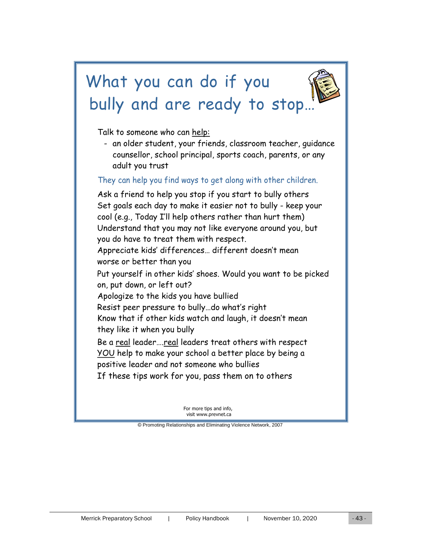# What you can do if you bully and are ready to stop.

Talk to someone who can help:

- an older student, your friends, classroom teacher, guidance counsellor, school principal, sports coach, parents, or any adult you trust

## They can help you find ways to get along with other children.

Ask a friend to help you stop if you start to bully others Set goals each day to make it easier not to bully - keep your cool (e.g., Today I'll help others rather than hurt them) Understand that you may not like everyone around you, but you do have to treat them with respect. Appreciate kids' differences… different doesn't mean worse or better than you Put yourself in other kids' shoes. Would you want to be picked on, put down, or left out? Apologize to the kids you have bullied Resist peer pressure to bully…do what's right Know that if other kids watch and laugh, it doesn't mean they like it when you bully Be a real leader….real leaders treat others with respect YOU help to make your school a better place by being a positive leader and not someone who bullies If these tips work for you, pass them on to others

> For more tips and info, visit www.prevnet.ca

© Promoting Relationships and Eliminating Violence Network, 2007